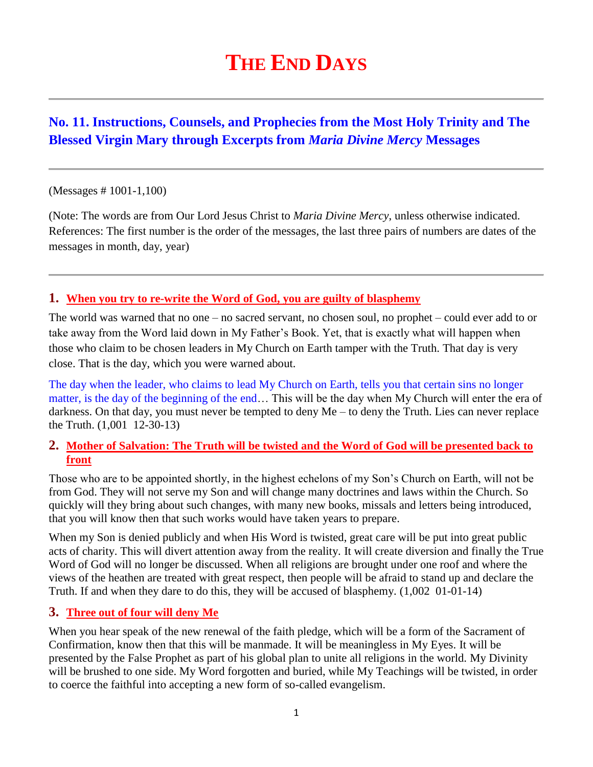# **THE END DAYS**

# **No. 11. Instructions, Counsels, and Prophecies from the Most Holy Trinity and The Blessed Virgin Mary through Excerpts from** *Maria Divine Mercy* **Messages**

#### (Messages # 1001-1,100)

(Note: The words are from Our Lord Jesus Christ to *Maria Divine Mercy*, unless otherwise indicated. References: The first number is the order of the messages, the last three pairs of numbers are dates of the messages in month, day, year)

#### **1. [When you try to re-write the Word of God, you are guilty of blasphemy](http://www.thewarningsecondcoming.com/when-you-try-to-re-write-the-word-of-god-you-are-guilty-of-blasphemy/)**

The world was warned that no one – no sacred servant, no chosen soul, no prophet – could ever add to or take away from the Word laid down in My Father's Book. Yet, that is exactly what will happen when those who claim to be chosen leaders in My Church on Earth tamper with the Truth. That day is very close. That is the day, which you were warned about.

The day when the leader, who claims to lead My Church on Earth, tells you that certain sins no longer matter, is the day of the beginning of the end… This will be the day when My Church will enter the era of darkness. On that day, you must never be tempted to deny Me – to deny the Truth. Lies can never replace the Truth. (1,001 12-30-13)

#### **2. [Mother of Salvation: The Truth will be twisted and the Word of God will be presented back to](http://www.thewarningsecondcoming.com/mother-of-salvation-the-truth-will-be-twisted-and-the-word-of-god-will-be-presented-back-to-front/)  [front](http://www.thewarningsecondcoming.com/mother-of-salvation-the-truth-will-be-twisted-and-the-word-of-god-will-be-presented-back-to-front/)**

Those who are to be appointed shortly, in the highest echelons of my Son's Church on Earth, will not be from God. They will not serve my Son and will change many doctrines and laws within the Church. So quickly will they bring about such changes, with many new books, missals and letters being introduced, that you will know then that such works would have taken years to prepare.

When my Son is denied publicly and when His Word is twisted, great care will be put into great public acts of charity. This will divert attention away from the reality. It will create diversion and finally the True Word of God will no longer be discussed. When all religions are brought under one roof and where the views of the heathen are treated with great respect, then people will be afraid to stand up and declare the Truth. If and when they dare to do this, they will be accused of blasphemy. (1,002 01-01-14)

#### **3. [Three out of four will deny Me](http://www.thewarningsecondcoming.com/three-of-out-of-four-will-deny-me/)**

When you hear speak of the new renewal of the faith pledge, which will be a form of the Sacrament of Confirmation, know then that this will be manmade. It will be meaningless in My Eyes. It will be presented by the False Prophet as part of his global plan to unite all religions in the world. My Divinity will be brushed to one side. My Word forgotten and buried, while My Teachings will be twisted, in order to coerce the faithful into accepting a new form of so-called evangelism.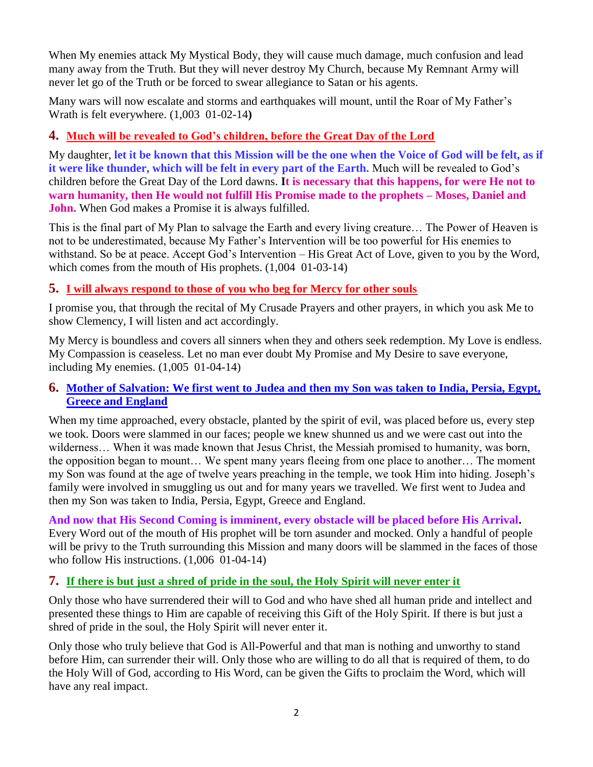When My enemies attack My Mystical Body, they will cause much damage, much confusion and lead many away from the Truth. But they will never destroy My Church, because My Remnant Army will never let go of the Truth or be forced to swear allegiance to Satan or his agents.

Many wars will now escalate and storms and earthquakes will mount, until the Roar of My Father's Wrath is felt everywhere. (1,003 01-02-14**)**

# **4. [Much will be revealed to God's children, before the Great Day of the Lord](http://www.thewarningsecondcoming.com/much-will-be-revealed-to-gods-children-before-the-great-day-of-the-lord/)**

My daughter, **let it be known that this Mission will be the one when the Voice of God will be felt, as if it were like thunder, which will be felt in every part of the Earth.** Much will be revealed to God's children before the Great Day of the Lord dawns. **It is necessary that this happens, for were He not to warn humanity, then He would not fulfill His Promise made to the prophets – Moses, Daniel and John.** When God makes a Promise it is always fulfilled.

This is the final part of My Plan to salvage the Earth and every living creature… The Power of Heaven is not to be underestimated, because My Father's Intervention will be too powerful for His enemies to withstand. So be at peace. Accept God's Intervention – His Great Act of Love, given to you by the Word, which comes from the mouth of His prophets.  $(1,004, 01-03-14)$ 

# **5. [I will always respond to those of you who beg for Mercy for other souls](http://www.thewarningsecondcoming.com/i-will-always-respond-to-those-of-you-who-beg-for-mercy-for-other-souls/)**

I promise you, that through the recital of My Crusade Prayers and other prayers, in which you ask Me to show Clemency, I will listen and act accordingly.

My Mercy is boundless and covers all sinners when they and others seek redemption. My Love is endless. My Compassion is ceaseless. Let no man ever doubt My Promise and My Desire to save everyone, including My enemies. (1,005 01-04-14)

# **6. [Mother of Salvation: We first went to Judea and then my Son was taken to India, Persia, Egypt,](http://www.thewarningsecondcoming.com/mother-of-salvation-we-first-went-to-judea-and-then-my-son-was-taken-to-india-persia-egypt-greece-and-england/)  [Greece and England](http://www.thewarningsecondcoming.com/mother-of-salvation-we-first-went-to-judea-and-then-my-son-was-taken-to-india-persia-egypt-greece-and-england/)**

When my time approached, every obstacle, planted by the spirit of evil, was placed before us, every step we took. Doors were slammed in our faces; people we knew shunned us and we were cast out into the wilderness... When it was made known that Jesus Christ, the Messiah promised to humanity, was born, the opposition began to mount… We spent many years fleeing from one place to another… The moment my Son was found at the age of twelve years preaching in the temple, we took Him into hiding. Joseph's family were involved in smuggling us out and for many years we travelled. We first went to Judea and then my Son was taken to India, Persia, Egypt, Greece and England.

**And now that His Second Coming is imminent, every obstacle will be placed before His Arrival.**  Every Word out of the mouth of His prophet will be torn asunder and mocked. Only a handful of people will be privy to the Truth surrounding this Mission and many doors will be slammed in the faces of those who follow His instructions. (1,006 01-04-14)

# **7. [If there is but just a shred of pride in the soul, the Holy Spirit will never enter it](http://www.thewarningsecondcoming.com/if-there-is-but-just-a-shred-of-pride-in-the-soul-the-holy-spirit-will-never-enter-it/)**

Only those who have surrendered their will to God and who have shed all human pride and intellect and presented these things to Him are capable of receiving this Gift of the Holy Spirit. If there is but just a shred of pride in the soul, the Holy Spirit will never enter it.

Only those who truly believe that God is All-Powerful and that man is nothing and unworthy to stand before Him, can surrender their will. Only those who are willing to do all that is required of them, to do the Holy Will of God, according to His Word, can be given the Gifts to proclaim the Word, which will have any real impact.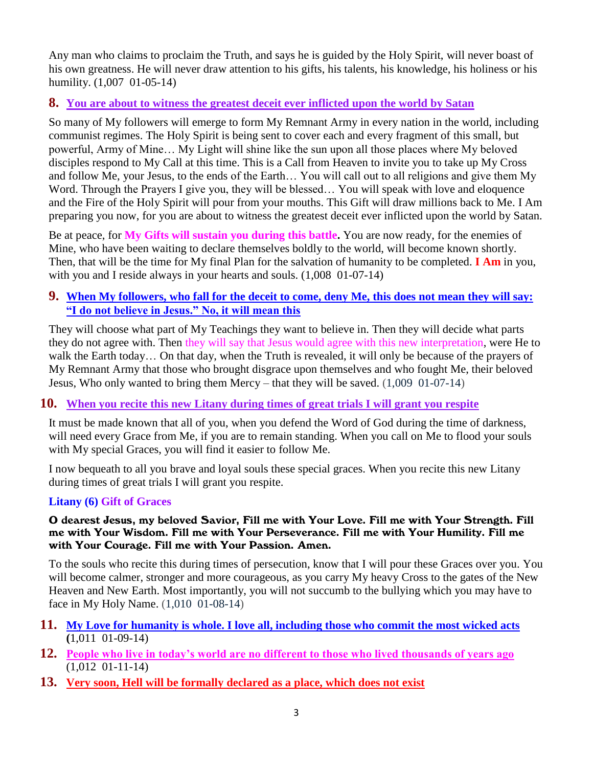Any man who claims to proclaim the Truth, and says he is guided by the Holy Spirit, will never boast of his own greatness. He will never draw attention to his gifts, his talents, his knowledge, his holiness or his humility. (1,007 01-05-14)

# **8. [You are about to witness the greatest deceit ever inflicted upon the world by Satan](http://www.thewarningsecondcoming.com/you-are-about-to-witness-the-greatest-deceit-ever-inflicted-upon-the-world-by-satan/)**

So many of My followers will emerge to form My Remnant Army in every nation in the world, including communist regimes. The Holy Spirit is being sent to cover each and every fragment of this small, but powerful, Army of Mine… My Light will shine like the sun upon all those places where My beloved disciples respond to My Call at this time. This is a Call from Heaven to invite you to take up My Cross and follow Me, your Jesus, to the ends of the Earth… You will call out to all religions and give them My Word. Through the Prayers I give you, they will be blessed... You will speak with love and eloquence and the Fire of the Holy Spirit will pour from your mouths. This Gift will draw millions back to Me. I Am preparing you now, for you are about to witness the greatest deceit ever inflicted upon the world by Satan.

Be at peace, for **My Gifts will sustain you during this battle.** You are now ready, for the enemies of Mine, who have been waiting to declare themselves boldly to the world, will become known shortly. Then, that will be the time for My final Plan for the salvation of humanity to be completed. **I Am** in you, with you and I reside always in your hearts and souls. (1,008 01-07-14)

# **9. [When My followers, who fall for the deceit to come, deny Me, this does not mean they will say:](http://www.thewarningsecondcoming.com/when-my-followers-who-fall-for-the-deceit-to-come-deny-me-this-does-not-mean-they-will-say-i-do-not-believe-in-jesus-no-it-will-mean-this/)  ["I do not believe in Jesus." No, it will mean this](http://www.thewarningsecondcoming.com/when-my-followers-who-fall-for-the-deceit-to-come-deny-me-this-does-not-mean-they-will-say-i-do-not-believe-in-jesus-no-it-will-mean-this/)**

They will choose what part of My Teachings they want to believe in. Then they will decide what parts they do not agree with. Then they will say that Jesus would agree with this new interpretation, were He to walk the Earth today… On that day, when the Truth is revealed, it will only be because of the prayers of My Remnant Army that those who brought disgrace upon themselves and who fought Me, their beloved Jesus, Who only wanted to bring them Mercy – that they will be saved. (1,009 01-07-14)

# **10. When you [recite this new Litany during times of great trials I will grant you respite](http://www.thewarningsecondcoming.com/when-you-recite-this-new-litany-during-times-of-great-trials-i-will-grant-you-respite/)**

It must be made known that all of you, when you defend the Word of God during the time of darkness, will need every Grace from Me, if you are to remain standing. When you call on Me to flood your souls with My special Graces, you will find it easier to follow Me.

I now bequeath to all you brave and loyal souls these special graces. When you recite this new Litany during times of great trials I will grant you respite.

# **Litany (6) Gift of Graces**

#### O dearest Jesus, my beloved Savior, Fill me with Your Love. Fill me with Your Strength. Fill me with Your Wisdom. Fill me with Your Perseverance. Fill me with Your Humility. Fill me with Your Courage. Fill me with Your Passion. Amen.

To the souls who recite this during times of persecution, know that I will pour these Graces over you. You will become calmer, stronger and more courageous, as you carry My heavy Cross to the gates of the New Heaven and New Earth. Most importantly, you will not succumb to the bullying which you may have to face in My Holy Name. (1,010 01-08-14)

- **11. [My Love for humanity is whole. I love all, including those who commit the most wicked acts](http://www.thewarningsecondcoming.com/my-love-for-humanity-is-whole-i-love-all-including-those-who-commit-the-most-wicked-acts/)  (**1,011 01-09-14)
- **12. [People who live in today's world are no different to those who lived thousands of years ago](http://www.thewarningsecondcoming.com/people-who-live-in-todays-world-are-no-different-to-those-who-lived-thousands-of-years-ago/)** (1,012 01-11-14)
- **13. Very soon, Hell will be formally [declared as a place, which does not exist](http://www.thewarningsecondcoming.com/very-soon-hell-will-be-formally-declared-as-a-place-which-does-not-exist/)**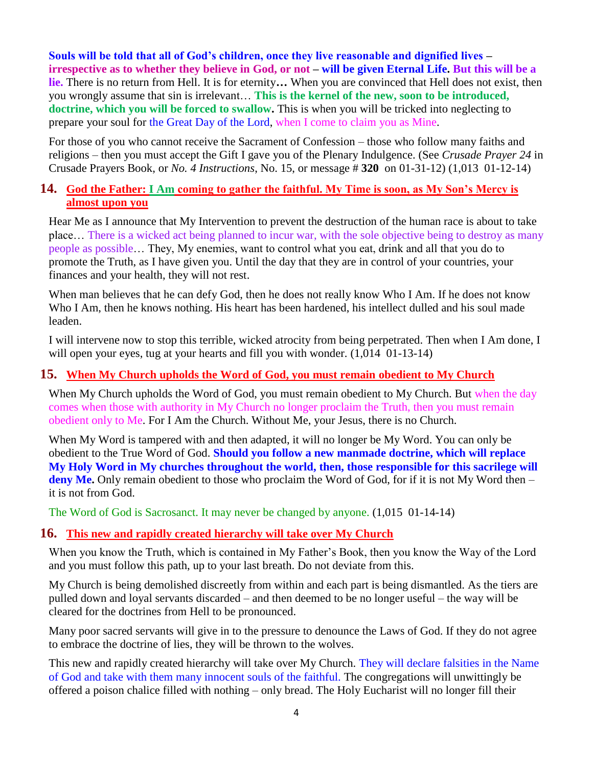**Souls will be told that all of God's children, once they live reasonable and dignified lives – irrespective as to whether they believe in God, or not – will be given Eternal Life. But this will be a lie.** There is no return from Hell. It is for eternity**…** When you are convinced that Hell does not exist, then you wrongly assume that sin is irrelevant… **This is the kernel of the new, soon to be introduced, doctrine, which you will be forced to swallow.** This is when you will be tricked into neglecting to prepare your soul for the Great Day of the Lord, when I come to claim you as Mine.

For those of you who cannot receive the Sacrament of Confession – those who follow many faiths and religions – then you must accept the Gift I gave you of the Plenary Indulgence. (See *Crusade Prayer 24* in Crusade Prayers Book, or *No. 4 Instructions*, No. 15, or message # **320** on 01-31-12) (1,013 01-12-14)

#### **14. God the Father: I Am [coming to gather the faithful. My Time is soon, as My Son's Mercy is](http://www.thewarningsecondcoming.com/god-the-father-i-am-coming-to-gather-the-faithful-my-time-is-soon-as-my-sons-mercy-is-almost-upon-you-2/)  [almost upon you](http://www.thewarningsecondcoming.com/god-the-father-i-am-coming-to-gather-the-faithful-my-time-is-soon-as-my-sons-mercy-is-almost-upon-you-2/)**

Hear Me as I announce that My Intervention to prevent the destruction of the human race is about to take place… There is a wicked act being planned to incur war, with the sole objective being to destroy as many people as possible… They, My enemies, want to control what you eat, drink and all that you do to promote the Truth, as I have given you. Until the day that they are in control of your countries, your finances and your health, they will not rest.

When man believes that he can defy God, then he does not really know Who I Am. If he does not know Who I Am, then he knows nothing. His heart has been hardened, his intellect dulled and his soul made leaden.

I will intervene now to stop this terrible, wicked atrocity from being perpetrated. Then when I Am done, I will open your eyes, tug at your hearts and fill you with wonder.  $(1,014 \ 01-13-14)$ 

# **15. [When My Church upholds the Word of God, you must remain](http://www.thewarningsecondcoming.com/when-my-church-upholds-the-word-of-god-you-must-remain-obedient-to-my-church/) obedient to My Church**

When My Church upholds the Word of God, you must remain obedient to My Church. But when the day comes when those with authority in My Church no longer proclaim the Truth, then you must remain obedient only to Me. For I Am the Church. Without Me, your Jesus, there is no Church.

When My Word is tampered with and then adapted, it will no longer be My Word. You can only be obedient to the True Word of God. **Should you follow a new manmade doctrine, which will replace My Holy Word in My churches throughout the world, then, those responsible for this sacrilege will**  deny Me. Only remain obedient to those who proclaim the Word of God, for if it is not My Word then – it is not from God.

The Word of God is Sacrosanct. It may never be changed by anyone. (1,015 01-14-14)

#### **16. [This new and rapidly created hierarchy will take over My Church](http://www.thewarningsecondcoming.com/this-new-and-rapidly-created-hierarchy-will-take-over-my-church/)**

When you know the Truth, which is contained in My Father's Book, then you know the Way of the Lord and you must follow this path, up to your last breath. Do not deviate from this.

My Church is being demolished discreetly from within and each part is being dismantled. As the tiers are pulled down and loyal servants discarded – and then deemed to be no longer useful – the way will be cleared for the doctrines from Hell to be pronounced.

Many poor sacred servants will give in to the pressure to denounce the Laws of God. If they do not agree to embrace the doctrine of lies, they will be thrown to the wolves.

This new and rapidly created hierarchy will take over My Church. They will declare falsities in the Name of God and take with them many innocent souls of the faithful. The congregations will unwittingly be offered a poison chalice filled with nothing – only bread. The Holy Eucharist will no longer fill their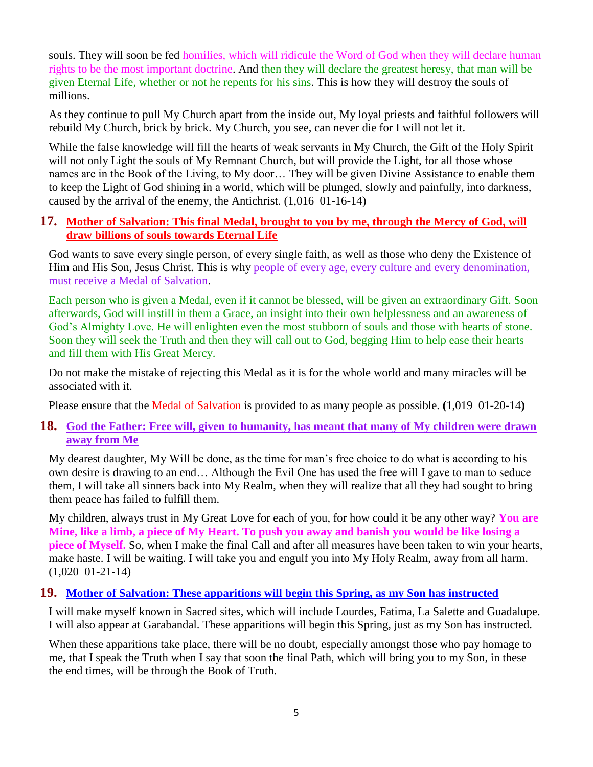souls. They will soon be fed homilies, which will ridicule the Word of God when they will declare human rights to be the most important doctrine. And then they will declare the greatest heresy, that man will be given Eternal Life, whether or not he repents for his sins. This is how they will destroy the souls of millions.

As they continue to pull My Church apart from the inside out, My loyal priests and faithful followers will rebuild My Church, brick by brick. My Church, you see, can never die for I will not let it.

While the false knowledge will fill the hearts of weak servants in My Church, the Gift of the Holy Spirit will not only Light the souls of My Remnant Church, but will provide the Light, for all those whose names are in the Book of the Living, to My door… They will be given Divine Assistance to enable them to keep the Light of God shining in a world, which will be plunged, slowly and painfully, into darkness, caused by the arrival of the enemy, the Antichrist. (1,016 01-16-14)

#### **17. [Mother of Salvation: This final Medal, brought to you by me, through the Mercy of God, will](http://www.thewarningsecondcoming.com/mother-of-salvation-this-final-medal-brought-to-you-by-me-through-the-mercy-of-god-will-draw-billions-of-souls-towards-eternal-life/)  [draw billions of souls towards Eternal Life](http://www.thewarningsecondcoming.com/mother-of-salvation-this-final-medal-brought-to-you-by-me-through-the-mercy-of-god-will-draw-billions-of-souls-towards-eternal-life/)**

God wants to save every single person, of every single faith, as well as those who deny the Existence of Him and His Son, Jesus Christ. This is why people of every age, every culture and every denomination, must receive a Medal of Salvation.

Each person who is given a Medal, even if it cannot be blessed, will be given an extraordinary Gift. Soon afterwards, God will instill in them a Grace, an insight into their own helplessness and an awareness of God's Almighty Love. He will enlighten even the most stubborn of souls and those with hearts of stone. Soon they will seek the Truth and then they will call out to God, begging Him to help ease their hearts and fill them with His Great Mercy.

Do not make the mistake of rejecting this Medal as it is for the whole world and many miracles will be associated with it.

Please ensure that the Medal of Salvation is provided to as many people as possible. **(**1,019 01-20-14**)**

#### **18. [God the Father: Free will, given to humanity, has meant that many of My children were drawn](http://www.thewarningsecondcoming.com/god-the-father-free-will-given-to-humanity-has-meant-that-many-of-my-children-were-drawn-away-from-me/)  [away from Me](http://www.thewarningsecondcoming.com/god-the-father-free-will-given-to-humanity-has-meant-that-many-of-my-children-were-drawn-away-from-me/)**

My dearest daughter, My Will be done, as the time for man's free choice to do what is according to his own desire is drawing to an end… Although the Evil One has used the free will I gave to man to seduce them, I will take all sinners back into My Realm, when they will realize that all they had sought to bring them peace has failed to fulfill them.

My children, always trust in My Great Love for each of you, for how could it be any other way? **You are Mine, like a limb, a piece of My Heart. To push you away and banish you would be like losing a piece of Myself.** So, when I make the final Call and after all measures have been taken to win your hearts, make haste. I will be waiting. I will take you and engulf you into My Holy Realm, away from all harm. (1,020 01-21-14)

#### **19. [Mother of Salvation: These apparitions will begin this Spring, as my Son has instructed](http://www.thewarningsecondcoming.com/mother-of-salvation-these-apparitions-will-begin-this-spring-as-my-son-has-instructed-2/)**

I will make myself known in Sacred sites, which will include Lourdes, Fatima, La Salette and Guadalupe. I will also appear at Garabandal. These apparitions will begin this Spring, just as my Son has instructed.

When these apparitions take place, there will be no doubt, especially amongst those who pay homage to me, that I speak the Truth when I say that soon the final Path, which will bring you to my Son, in these the end times, will be through the Book of Truth.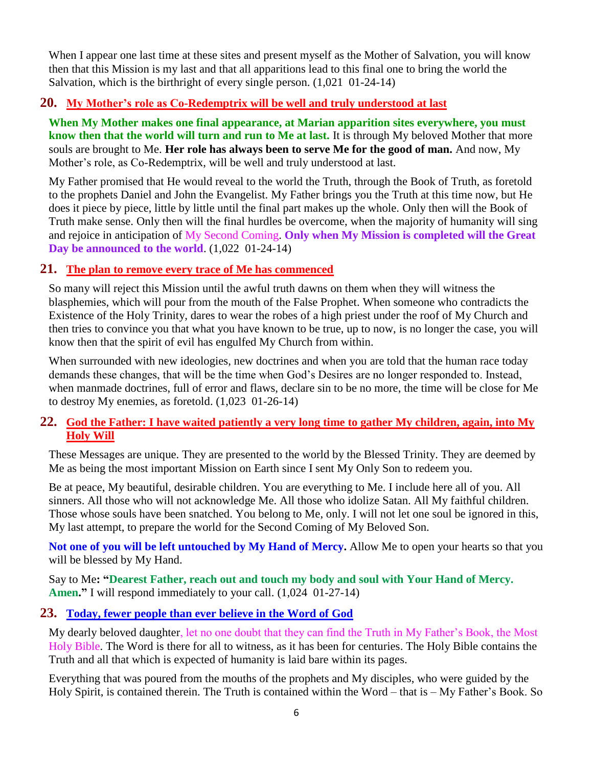When I appear one last time at these sites and present myself as the Mother of Salvation, you will know then that this Mission is my last and that all apparitions lead to this final one to bring the world the Salvation, which is the birthright of every single person. (1,021 01-24-14)

# **20. [My Mother's role as Co-Redemptrix will be well and truly understood at last](http://www.thewarningsecondcoming.com/my-mothers-role-as-co-redemptrix-will-be-well-and-truly-understood-at-last/)**

**When My Mother makes one final appearance, at Marian apparition sites everywhere, you must know then that the world will turn and run to Me at last.** It is through My beloved Mother that more souls are brought to Me. **Her role has always been to serve Me for the good of man.** And now, My Mother's role, as Co-Redemptrix, will be well and truly understood at last.

My Father promised that He would reveal to the world the Truth, through the Book of Truth, as foretold to the prophets Daniel and John the Evangelist. My Father brings you the Truth at this time now, but He does it piece by piece, little by little until the final part makes up the whole. Only then will the Book of Truth make sense. Only then will the final hurdles be overcome, when the majority of humanity will sing and rejoice in anticipation of My Second Coming. **Only when My Mission is completed will the Great Day be announced to the world**. (1,022 01-24-14)

#### **21. [The plan to remove every trace of Me has commenced](http://www.thewarningsecondcoming.com/the-plan-to-remove-every-trace-of-me-has-commenced/)**

So many will reject this Mission until the awful truth dawns on them when they will witness the blasphemies, which will pour from the mouth of the False Prophet. When someone who contradicts the Existence of the Holy Trinity, dares to wear the robes of a high priest under the roof of My Church and then tries to convince you that what you have known to be true, up to now, is no longer the case, you will know then that the spirit of evil has engulfed My Church from within.

When surrounded with new ideologies, new doctrines and when you are told that the human race today demands these changes, that will be the time when God's Desires are no longer responded to. Instead, when manmade doctrines, full of error and flaws, declare sin to be no more, the time will be close for Me to destroy My enemies, as foretold. (1,023 01-26-14)

#### **22. [God the Father: I have waited patiently a very long time to gather My children, again, into My](http://www.thewarningsecondcoming.com/god-the-father-i-have-waited-patiently-a-very-long-time-to-gather-my-children-again-into-my-holy-will/)  [Holy Will](http://www.thewarningsecondcoming.com/god-the-father-i-have-waited-patiently-a-very-long-time-to-gather-my-children-again-into-my-holy-will/)**

These Messages are unique. They are presented to the world by the Blessed Trinity. They are deemed by Me as being the most important Mission on Earth since I sent My Only Son to redeem you.

Be at peace, My beautiful, desirable children. You are everything to Me. I include here all of you. All sinners. All those who will not acknowledge Me. All those who idolize Satan. All My faithful children. Those whose souls have been snatched. You belong to Me, only. I will not let one soul be ignored in this, My last attempt, to prepare the world for the Second Coming of My Beloved Son.

**Not one of you will be left untouched by My Hand of Mercy.** Allow Me to open your hearts so that you will be blessed by My Hand.

Say to Me**: "Dearest Father, reach out and touch my body and soul with Your Hand of Mercy. Amen."** I will respond immediately to your call. (1,024 01-27-14)

#### **23. [Today, fewer people than ever believe in the Word of God](http://www.thewarningsecondcoming.com/today-fewer-people-than-ever-believe-in-the-word-of-god/)**

My dearly beloved daughter, let no one doubt that they can find the Truth in My Father's Book, the Most Holy Bible. The Word is there for all to witness, as it has been for centuries. The Holy Bible contains the Truth and all that which is expected of humanity is laid bare within its pages.

Everything that was poured from the mouths of the prophets and My disciples, who were guided by the Holy Spirit, is contained therein. The Truth is contained within the Word – that is – My Father's Book. So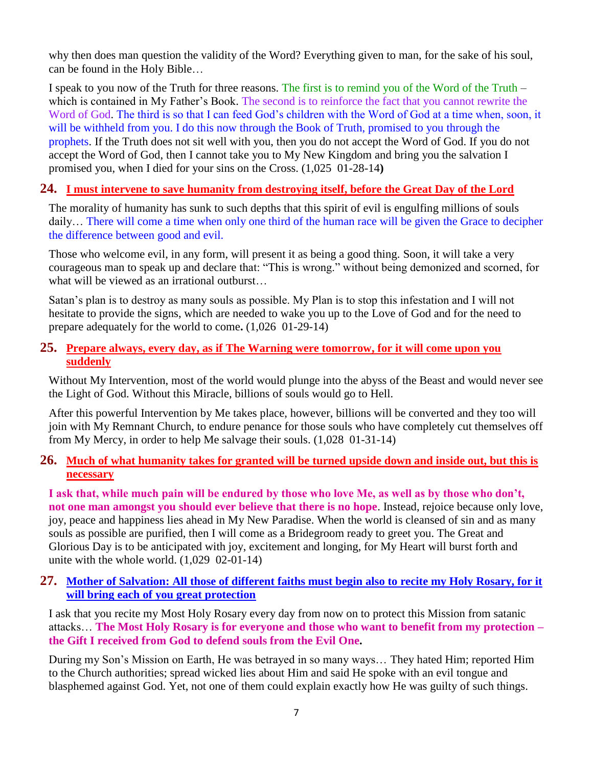why then does man question the validity of the Word? Everything given to man, for the sake of his soul, can be found in the Holy Bible…

I speak to you now of the Truth for three reasons. The first is to remind you of the Word of the Truth – which is contained in My Father's Book. The second is to reinforce the fact that you cannot rewrite the Word of God. The third is so that I can feed God's children with the Word of God at a time when, soon, it will be withheld from you. I do this now through the Book of Truth, promised to you through the prophets. If the Truth does not sit well with you, then you do not accept the Word of God. If you do not accept the Word of God, then I cannot take you to My New Kingdom and bring you the salvation I promised you, when I died for your sins on the Cross. (1,025 01-28-14**)** 

#### **24. [I must intervene to save humanity from destroying itself, before the Great Day of the Lord](http://www.thewarningsecondcoming.com/i-must-intervene-to-save-humanity-from-destroying-itself-before-the-great-day-of-the-lord/)**

The morality of humanity has sunk to such depths that this spirit of evil is engulfing millions of souls daily… There will come a time when only one third of the human race will be given the Grace to decipher the difference between good and evil.

Those who welcome evil, in any form, will present it as being a good thing. Soon, it will take a very courageous man to speak up and declare that: "This is wrong." without being demonized and scorned, for what will be viewed as an irrational outburst…

Satan's plan is to destroy as many souls as possible. My Plan is to stop this infestation and I will not hesitate to provide the signs, which are needed to wake you up to the Love of God and for the need to prepare adequately for the world to come**.** (1,026 01-29-14)

#### **25. [Prepare always, every day, as if The Warning were tomorrow, for it will come upon you](http://www.thewarningsecondcoming.com/prepare-always-every-day-as-if-the-warning-were-tomorrow-for-it-will-come-upon-you-suddenly/)  [suddenly](http://www.thewarningsecondcoming.com/prepare-always-every-day-as-if-the-warning-were-tomorrow-for-it-will-come-upon-you-suddenly/)**

Without My Intervention, most of the world would plunge into the abyss of the Beast and would never see the Light of God. Without this Miracle, billions of souls would go to Hell.

After this powerful Intervention by Me takes place, however, billions will be converted and they too will join with My Remnant Church, to endure penance for those souls who have completely cut themselves off from My Mercy, in order to help Me salvage their souls. (1,028 01-31-14)

#### **26. [Much of what humanity takes for granted will be](http://www.thewarningsecondcoming.com/much-of-what-humanity-takes-for-granted-will-be-turned-upside-down-and-inside-out-but-this-is-necessary/) turned upside down and inside out, but this is [necessary](http://www.thewarningsecondcoming.com/much-of-what-humanity-takes-for-granted-will-be-turned-upside-down-and-inside-out-but-this-is-necessary/)**

**I ask that, while much pain will be endured by those who love Me, as well as by those who don't, not one man amongst you should ever believe that there is no hope**. Instead, rejoice because only love, joy, peace and happiness lies ahead in My New Paradise. When the world is cleansed of sin and as many souls as possible are purified, then I will come as a Bridegroom ready to greet you. The Great and Glorious Day is to be anticipated with joy, excitement and longing, for My Heart will burst forth and unite with the whole world. (1,029 02-01-14)

#### **27. [Mother of Salvation: All those of different faiths must begin also to recite my Holy Rosary, for it](http://www.thewarningsecondcoming.com/mother-of-salvation-all-those-of-different-faiths-must-begin-also-to-recite-my-holy-rosary-for-it-will-bring-each-of-you-great-protection/)  [will bring each of you great protection](http://www.thewarningsecondcoming.com/mother-of-salvation-all-those-of-different-faiths-must-begin-also-to-recite-my-holy-rosary-for-it-will-bring-each-of-you-great-protection/)**

I ask that you recite my Most Holy Rosary every day from now on to protect this Mission from satanic attacks… **The Most Holy Rosary is for everyone and those who want to benefit from my protection – the Gift I received from God to defend souls from the Evil One.**

During my Son's Mission on Earth, He was betrayed in so many ways… They hated Him; reported Him to the Church authorities; spread wicked lies about Him and said He spoke with an evil tongue and blasphemed against God. Yet, not one of them could explain exactly how He was guilty of such things.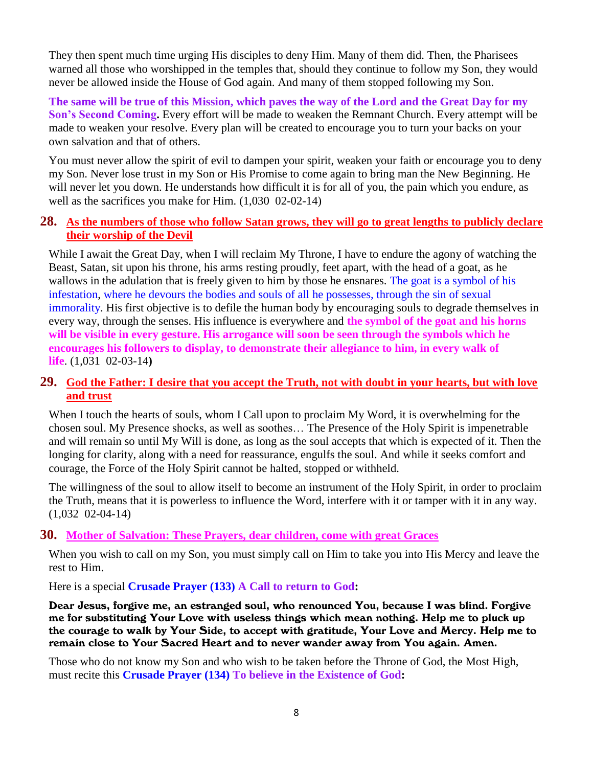They then spent much time urging His disciples to deny Him. Many of them did. Then, the Pharisees warned all those who worshipped in the temples that, should they continue to follow my Son, they would never be allowed inside the House of God again. And many of them stopped following my Son.

**The same will be true of this Mission, which paves the way of the Lord and the Great Day for my Son's Second Coming.** Every effort will be made to weaken the Remnant Church. Every attempt will be made to weaken your resolve. Every plan will be created to encourage you to turn your backs on your own salvation and that of others.

You must never allow the spirit of evil to dampen your spirit, weaken your faith or encourage you to deny my Son. Never lose trust in my Son or His Promise to come again to bring man the New Beginning. He will never let you down. He understands how difficult it is for all of you, the pain which you endure, as well as the sacrifices you make for Him. (1,030 02-02-14)

#### **28. [As the numbers of those who follow Satan grows, they will go to great lengths to publicly declare](http://www.thewarningsecondcoming.com/as-the-numbers-of-those-who-follow-satan-grows-they-will-go-to-great-lengths-to-publicly-declare-their-worship-of-the-devil/)  [their worship of the Devil](http://www.thewarningsecondcoming.com/as-the-numbers-of-those-who-follow-satan-grows-they-will-go-to-great-lengths-to-publicly-declare-their-worship-of-the-devil/)**

While I await the Great Day, when I will reclaim My Throne, I have to endure the agony of watching the Beast, Satan, sit upon his throne, his arms resting proudly, feet apart, with the head of a goat, as he wallows in the adulation that is freely given to him by those he ensnares. The goat is a symbol of his infestation, where he devours the bodies and souls of all he possesses, through the sin of sexual immorality. His first objective is to defile the human body by encouraging souls to degrade themselves in every way, through the senses. His influence is everywhere and **the symbol of the goat and his horns will be visible in every gesture. His arrogance will soon be seen through the symbols which he encourages his followers to display, to demonstrate their allegiance to him, in every walk of life**. (1,031 02-03-14**)**

#### **29. [God the Father: I desire that you accept the Truth, not with doubt in your hearts, but with love](http://www.thewarningsecondcoming.com/god-the-father-i-desire-that-you-accept-the-truth-not-with-doubt-in-your-hearts-but-with-love-and-trust/)  [and trust](http://www.thewarningsecondcoming.com/god-the-father-i-desire-that-you-accept-the-truth-not-with-doubt-in-your-hearts-but-with-love-and-trust/)**

When I touch the hearts of souls, whom I Call upon to proclaim My Word, it is overwhelming for the chosen soul. My Presence shocks, as well as soothes… The Presence of the Holy Spirit is impenetrable and will remain so until My Will is done, as long as the soul accepts that which is expected of it. Then the longing for clarity, along with a need for reassurance, engulfs the soul. And while it seeks comfort and courage, the Force of the Holy Spirit cannot be halted, stopped or withheld.

The willingness of the soul to allow itself to become an instrument of the Holy Spirit, in order to proclaim the Truth, means that it is powerless to influence the Word, interfere with it or tamper with it in any way. (1,032 02-04-14)

#### **30. Mother of Salvation: These Prayers, [dear children, come with great Graces](http://www.thewarningsecondcoming.com/mother-of-salvation-these-prayers-dear-children-come-with-great-graces/)**

When you wish to call on my Son, you must simply call on Him to take you into His Mercy and leave the rest to Him.

Here is a special **Crusade Prayer (133) A Call to return to God:**

Dear Jesus, forgive me, an estranged soul, who renounced You, because I was blind. Forgive me for substituting Your Love with useless things which mean nothing. Help me to pluck up the courage to walk by Your Side, to accept with gratitude, Your Love and Mercy. Help me to remain close to Your Sacred Heart and to never wander away from You again. Amen.

Those who do not know my Son and who wish to be taken before the Throne of God, the Most High, must recite this **Crusade Prayer (134) To believe in the Existence of God:**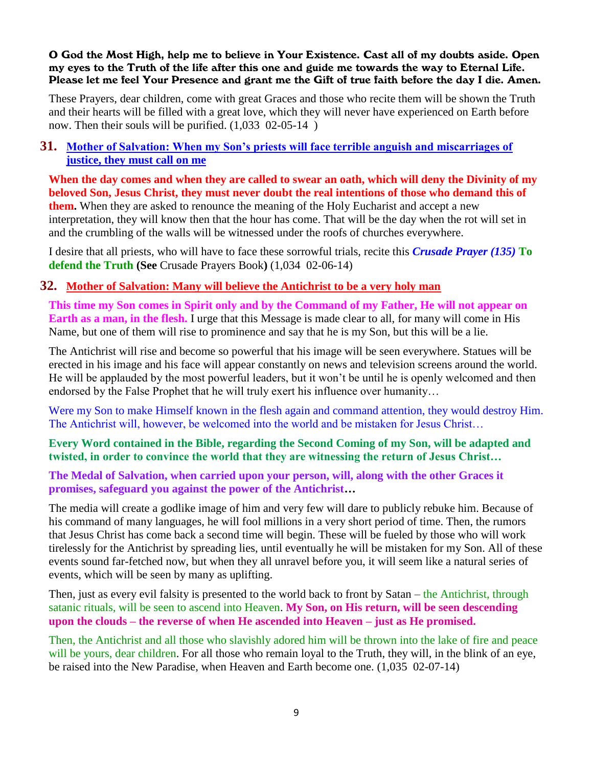#### O God the Most High, help me to believe in Your Existence. Cast all of my doubts aside. Open my eyes to the Truth of the life after this one and guide me towards the way to Eternal Life. Please let me feel Your Presence and grant me the Gift of true faith before the day I die. Amen.

These Prayers, dear children, come with great Graces and those who recite them will be shown the Truth and their hearts will be filled with a great love, which they will never have experienced on Earth before now. Then their souls will be purified. (1,033 02-05-14)

#### **31. [Mother of Salvation: When my Son's priests will face terrible anguish and miscarriages of](http://www.thewarningsecondcoming.com/mother-of-salvation-when-my-sons-priests-will-face-terrible-anguish-and-miscarriages-of-justice-they-must-call-on-me/)  [justice, they must call on me](http://www.thewarningsecondcoming.com/mother-of-salvation-when-my-sons-priests-will-face-terrible-anguish-and-miscarriages-of-justice-they-must-call-on-me/)**

**When the day comes and when they are called to swear an oath, which will deny the Divinity of my beloved Son, Jesus Christ, they must never doubt the real intentions of those who demand this of them.** When they are asked to renounce the meaning of the Holy Eucharist and accept a new interpretation, they will know then that the hour has come. That will be the day when the rot will set in and the crumbling of the walls will be witnessed under the roofs of churches everywhere.

I desire that all priests, who will have to face these sorrowful trials, recite this *Crusade Prayer (135)* **To defend the Truth (See** Crusade Prayers Book**)** (1,034 02-06-14)

# **32. [Mother of Salvation: Many will believe the Antichrist to be a very holy man](http://www.thewarningsecondcoming.com/mother-of-salvation-many-will-believe-the-antichrist-to-be-a-very-holy-man/)**

**This time my Son comes in Spirit only and by the Command of my Father, He will not appear on Earth as a man, in the flesh.** I urge that this Message is made clear to all, for many will come in His Name, but one of them will rise to prominence and say that he is my Son, but this will be a lie.

The Antichrist will rise and become so powerful that his image will be seen everywhere. Statues will be erected in his image and his face will appear constantly on news and television screens around the world. He will be applauded by the most powerful leaders, but it won't be until he is openly welcomed and then endorsed by the False Prophet that he will truly exert his influence over humanity…

Were my Son to make Himself known in the flesh again and command attention, they would destroy Him. The Antichrist will, however, be welcomed into the world and be mistaken for Jesus Christ…

#### **Every Word contained in the Bible, regarding the Second Coming of my Son, will be adapted and twisted, in order to convince the world that they are witnessing the return of Jesus Christ…**

#### **The Medal of Salvation, when carried upon your person, will, along with the other Graces it promises, safeguard you against the power of the Antichrist…**

The media will create a godlike image of him and very few will dare to publicly rebuke him. Because of his command of many languages, he will fool millions in a very short period of time. Then, the rumors that Jesus Christ has come back a second time will begin. These will be fueled by those who will work tirelessly for the Antichrist by spreading lies, until eventually he will be mistaken for my Son. All of these events sound far-fetched now, but when they all unravel before you, it will seem like a natural series of events, which will be seen by many as uplifting.

Then, just as every evil falsity is presented to the world back to front by Satan – the Antichrist, through satanic rituals, will be seen to ascend into Heaven. **My Son, on His return, will be seen descending upon the clouds – the reverse of when He ascended into Heaven – just as He promised.**

Then, the Antichrist and all those who slavishly adored him will be thrown into the lake of fire and peace will be yours, dear children. For all those who remain loyal to the Truth, they will, in the blink of an eye, be raised into the New Paradise, when Heaven and Earth become one. (1,035 02-07-14)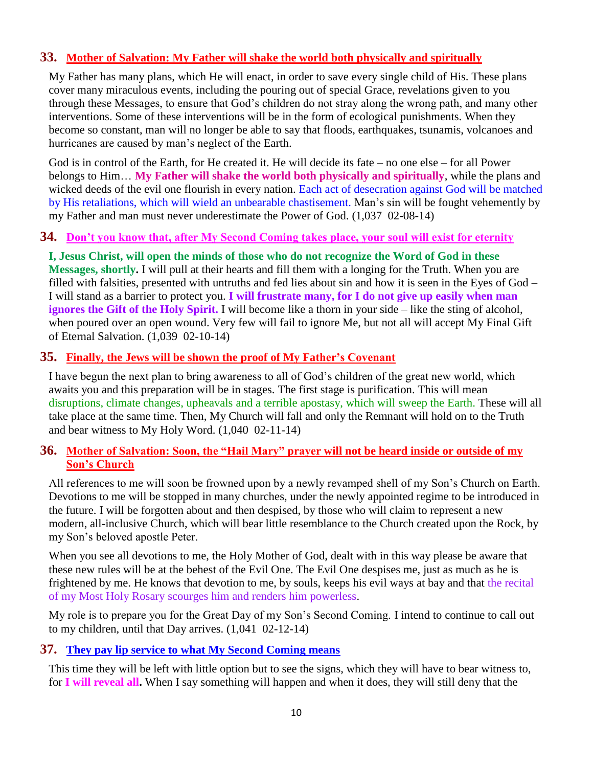# **33. [Mother of Salvation: My Father will shake the world both physically and spiritually](http://www.thewarningsecondcoming.com/mother-of-salvation-my-father-will-shake-the-world-both-physically-and-spiritually/)**

My Father has many plans, which He will enact, in order to save every single child of His. These plans cover many miraculous events, including the pouring out of special Grace, revelations given to you through these Messages, to ensure that God's children do not stray along the wrong path, and many other interventions. Some of these interventions will be in the form of ecological punishments. When they become so constant, man will no longer be able to say that floods, earthquakes, tsunamis, volcanoes and hurricanes are caused by man's neglect of the Earth.

God is in control of the Earth, for He created it. He will decide its fate – no one else – for all Power belongs to Him… **My Father will shake the world both physically and spiritually**, while the plans and wicked deeds of the evil one flourish in every nation. Each act of desecration against God will be matched by His retaliations, which will wield an unbearable chastisement. Man's sin will be fought vehemently by my Father and man must never underestimate the Power of God. (1,037 02-08-14)

#### **34. [Don't you know that, after My Second Coming takes place, your soul will exist for eternity](http://www.thewarningsecondcoming.com/dont-you-know-that-after-my-second-coming-takes-place-your-soul-will-exist-for-eternity/)**

**I, Jesus Christ, will open the minds of those who do not recognize the Word of God in these Messages, shortly.** I will pull at their hearts and fill them with a longing for the Truth. When you are filled with falsities, presented with untruths and fed lies about sin and how it is seen in the Eyes of God – I will stand as a barrier to protect you. **I will frustrate many, for I do not give up easily when man ignores the Gift of the Holy Spirit.** I will become like a thorn in your side – like the sting of alcohol, when poured over an open wound. Very few will fail to ignore Me, but not all will accept My Final Gift of Eternal Salvation. (1,039 02-10-14)

#### **35. [Finally, the Jews will be shown the proof of My Father's Covenant](http://www.thewarningsecondcoming.com/finally-the-jews-will-be-shown-the-proof-of-my-fathers-covenant/)**

I have begun the next plan to bring awareness to all of God's children of the great new world, which awaits you and this preparation will be in stages. The first stage is purification. This will mean disruptions, climate changes, upheavals and a terrible apostasy, which will sweep the Earth. These will all take place at the same time. Then, My Church will fall and only the Remnant will hold on to the Truth and bear witness to My Holy Word. (1,040 02-11-14)

#### **36. [Mother of Salvation: Soon, the "Hail Mary" prayer will not be heard inside or outside of my](http://www.thewarningsecondcoming.com/mother-of-salvation-soon-the-hail-mary-prayer-will-not-be-heard-inside-or-outside-of-my-sons-church/)  [Son's Church](http://www.thewarningsecondcoming.com/mother-of-salvation-soon-the-hail-mary-prayer-will-not-be-heard-inside-or-outside-of-my-sons-church/)**

All references to me will soon be frowned upon by a newly revamped shell of my Son's Church on Earth. Devotions to me will be stopped in many churches, under the newly appointed regime to be introduced in the future. I will be forgotten about and then despised, by those who will claim to represent a new modern, all-inclusive Church, which will bear little resemblance to the Church created upon the Rock, by my Son's beloved apostle Peter.

When you see all devotions to me, the Holy Mother of God, dealt with in this way please be aware that these new rules will be at the behest of the Evil One. The Evil One despises me, just as much as he is frightened by me. He knows that devotion to me, by souls, keeps his evil ways at bay and that the recital of my Most Holy Rosary scourges him and renders him powerless.

My role is to prepare you for the Great Day of my Son's Second Coming. I intend to continue to call out to my children, until that Day arrives. (1,041 02-12-14)

#### **37. [They pay lip service to what My Second Coming means](http://www.thewarningsecondcoming.com/they-pay-lip-service-to-what-my-second-coming-means/)**

This time they will be left with little option but to see the signs, which they will have to bear witness to, for **I will reveal all.** When I say something will happen and when it does, they will still deny that the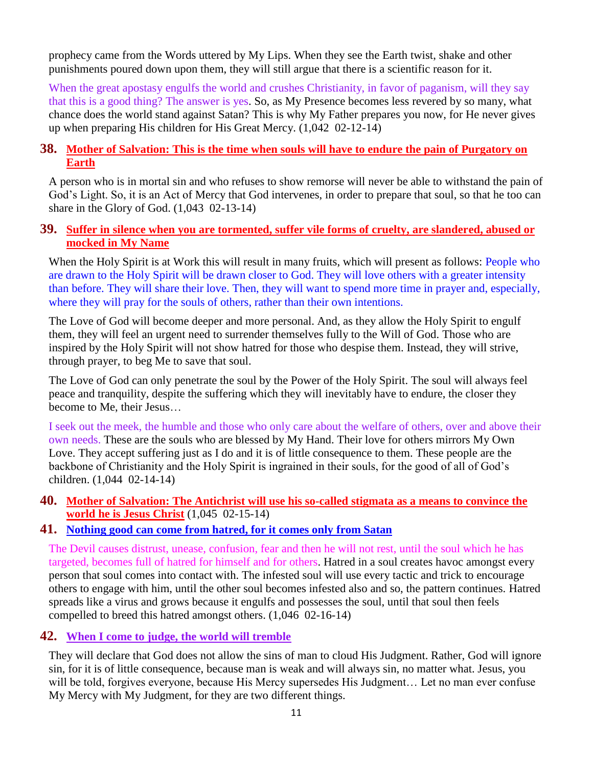prophecy came from the Words uttered by My Lips. When they see the Earth twist, shake and other punishments poured down upon them, they will still argue that there is a scientific reason for it.

When the great apostasy engulfs the world and crushes Christianity, in favor of paganism, will they say that this is a good thing? The answer is yes. So, as My Presence becomes less revered by so many, what chance does the world stand against Satan? This is why My Father prepares you now, for He never gives up when preparing His children for His Great Mercy. (1,042 02-12-14)

#### **38. [Mother of Salvation: This is the time when souls will have to endure the pain of Purgatory on](http://www.thewarningsecondcoming.com/mother-of-salvation-this-is-the-time-when-souls-will-have-to-endure-the-pain-of-purgatory-on-earth/)  [Earth](http://www.thewarningsecondcoming.com/mother-of-salvation-this-is-the-time-when-souls-will-have-to-endure-the-pain-of-purgatory-on-earth/)**

A person who is in mortal sin and who refuses to show remorse will never be able to withstand the pain of God's Light. So, it is an Act of Mercy that God intervenes, in order to prepare that soul, so that he too can share in the Glory of God. (1,043 02-13-14)

#### **39. [Suffer in silence when you are tormented, suffer vile forms of cruelty, are slandered, abused or](http://www.thewarningsecondcoming.com/suffer-in-silence-when-you-are-tormented-suffer-vile-forms-of-cruelty-are-slandered-abused-or-mocked-in-my-name/)  [mocked in My Name](http://www.thewarningsecondcoming.com/suffer-in-silence-when-you-are-tormented-suffer-vile-forms-of-cruelty-are-slandered-abused-or-mocked-in-my-name/)**

When the Holy Spirit is at Work this will result in many fruits, which will present as follows: People who are drawn to the Holy Spirit will be drawn closer to God. They will love others with a greater intensity than before. They will share their love. Then, they will want to spend more time in prayer and, especially, where they will pray for the souls of others, rather than their own intentions.

The Love of God will become deeper and more personal. And, as they allow the Holy Spirit to engulf them, they will feel an urgent need to surrender themselves fully to the Will of God. Those who are inspired by the Holy Spirit will not show hatred for those who despise them. Instead, they will strive, through prayer, to beg Me to save that soul.

The Love of God can only penetrate the soul by the Power of the Holy Spirit. The soul will always feel peace and tranquility, despite the suffering which they will inevitably have to endure, the closer they become to Me, their Jesus…

I seek out the meek, the humble and those who only care about the welfare of others, over and above their own needs. These are the souls who are blessed by My Hand. Their love for others mirrors My Own Love. They accept suffering just as I do and it is of little consequence to them. These people are the backbone of Christianity and the Holy Spirit is ingrained in their souls, for the good of all of God's children. (1,044 02-14-14)

**40. [Mother of Salvation: The Antichrist will use his so-called stigmata as a means to convince the](http://www.thewarningsecondcoming.com/mother-of-salvation-the-antichrist-will-use-his-so-called-stigmata-as-a-means-to-convince-the-world-he-is-jesus-christ/)  [world he is Jesus Christ](http://www.thewarningsecondcoming.com/mother-of-salvation-the-antichrist-will-use-his-so-called-stigmata-as-a-means-to-convince-the-world-he-is-jesus-christ/)** (1,045 02-15-14)

#### **41. [Nothing good can come from hatred, for it comes only from Satan](http://www.thewarningsecondcoming.com/nothing-good-can-come-from-hatred-for-it-comes-only-from-satan/)**

The Devil causes distrust, unease, confusion, fear and then he will not rest, until the soul which he has targeted, becomes full of hatred for himself and for others. Hatred in a soul creates havoc amongst every person that soul comes into contact with. The infested soul will use every tactic and trick to encourage others to engage with him, until the other soul becomes infested also and so, the pattern continues. Hatred spreads like a virus and grows because it engulfs and possesses the soul, until that soul then feels compelled to breed this hatred amongst others. (1,046 02-16-14)

#### **42. [When I come to judge, the world will tremble](http://www.thewarningsecondcoming.com/when-i-come-to-judge-the-world-will-tremble/)**

They will declare that God does not allow the sins of man to cloud His Judgment. Rather, God will ignore sin, for it is of little consequence, because man is weak and will always sin, no matter what. Jesus, you will be told, forgives everyone, because His Mercy supersedes His Judgment... Let no man ever confuse My Mercy with My Judgment, for they are two different things.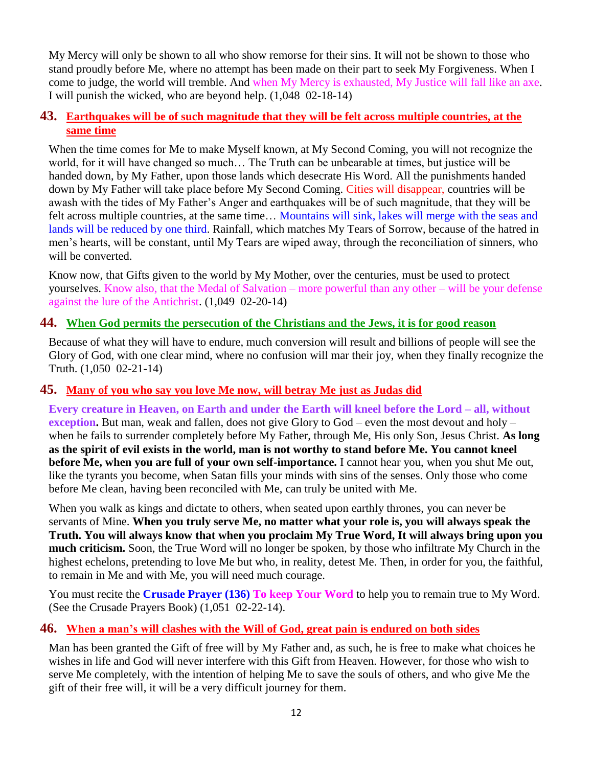My Mercy will only be shown to all who show remorse for their sins. It will not be shown to those who stand proudly before Me, where no attempt has been made on their part to seek My Forgiveness. When I come to judge, the world will tremble. And when My Mercy is exhausted, My Justice will fall like an axe. I will punish the wicked, who are beyond help. (1,048 02-18-14)

#### **43. [Earthquakes will be of such magnitude that they will be felt across multiple countries, at the](http://www.thewarningsecondcoming.com/earthquakes-will-be-of-such-magnitude-that-they-will-be-felt-across-multiple-countries-at-the-same-time/)  [same time](http://www.thewarningsecondcoming.com/earthquakes-will-be-of-such-magnitude-that-they-will-be-felt-across-multiple-countries-at-the-same-time/)**

When the time comes for Me to make Myself known, at My Second Coming, you will not recognize the world, for it will have changed so much… The Truth can be unbearable at times, but justice will be handed down, by My Father, upon those lands which desecrate His Word. All the punishments handed down by My Father will take place before My Second Coming. Cities will disappear, countries will be awash with the tides of My Father's Anger and earthquakes will be of such magnitude, that they will be felt across multiple countries, at the same time… Mountains will sink, lakes will merge with the seas and lands will be reduced by one third. Rainfall, which matches My Tears of Sorrow, because of the hatred in men's hearts, will be constant, until My Tears are wiped away, through the reconciliation of sinners, who will be converted.

Know now, that Gifts given to the world by My Mother, over the centuries, must be used to protect yourselves. Know also, that the Medal of Salvation – more powerful than any other – will be your defense against the lure of the Antichrist. (1,049 02-20-14)

# **44. [When God permits the persecution of the Christians and the Jews, it is for good reason](http://www.thewarningsecondcoming.com/when-god-permits-the-persecution-of-the-christians-and-the-jews-it-is-for-good-reason/)**

Because of what they will have to endure, much conversion will result and billions of people will see the Glory of God, with one clear mind, where no confusion will mar their joy, when they finally recognize the Truth. (1,050 02-21-14)

#### **45. [Many of you who say you love Me now, will betray Me just as Judas did](http://www.thewarningsecondcoming.com/many-of-you-who-say-you-love-me-now-will-betray-me-just-as-judas-did/)**

**Every creature in Heaven, on Earth and under the Earth will kneel before the Lord – all, without exception.** But man, weak and fallen, does not give Glory to God – even the most devout and holy – when he fails to surrender completely before My Father, through Me, His only Son, Jesus Christ. **As long as the spirit of evil exists in the world, man is not worthy to stand before Me. You cannot kneel before Me, when you are full of your own self-importance.** I cannot hear you, when you shut Me out, like the tyrants you become, when Satan fills your minds with sins of the senses. Only those who come before Me clean, having been reconciled with Me, can truly be united with Me.

When you walk as kings and dictate to others, when seated upon earthly thrones, you can never be servants of Mine. **When you truly serve Me, no matter what your role is, you will always speak the Truth. You will always know that when you proclaim My True Word, It will always bring upon you much criticism.** Soon, the True Word will no longer be spoken, by those who infiltrate My Church in the highest echelons, pretending to love Me but who, in reality, detest Me. Then, in order for you, the faithful, to remain in Me and with Me, you will need much courage.

You must recite the **Crusade Prayer (136) To keep Your Word** to help you to remain true to My Word. (See the Crusade Prayers Book) (1,051 02-22-14).

#### **46. [When a man's will clashes with the Will of God, great pain is endured on both sides](http://www.thewarningsecondcoming.com/when-a-mans-will-clashes-with-the-will-of-god-great-pain-is-endured-on-both-sides/)**

Man has been granted the Gift of free will by My Father and, as such, he is free to make what choices he wishes in life and God will never interfere with this Gift from Heaven. However, for those who wish to serve Me completely, with the intention of helping Me to save the souls of others, and who give Me the gift of their free will, it will be a very difficult journey for them.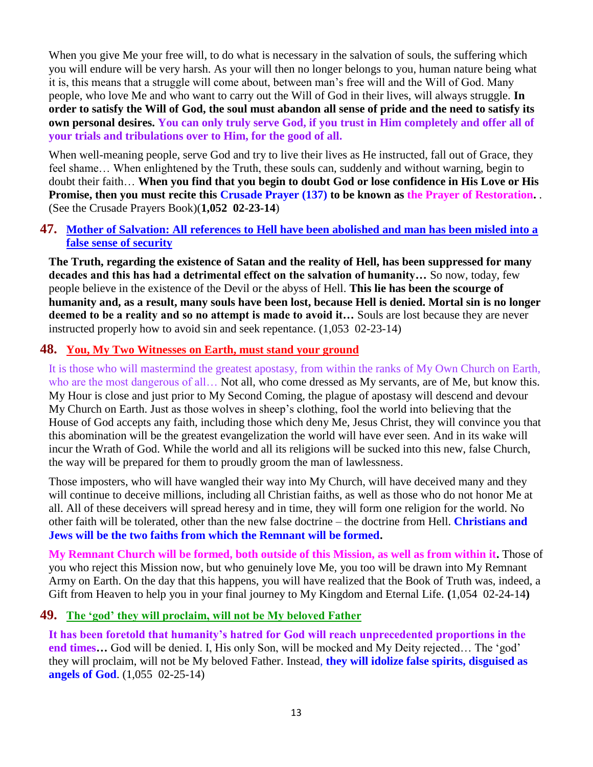When you give Me your free will, to do what is necessary in the salvation of souls, the suffering which you will endure will be very harsh. As your will then no longer belongs to you, human nature being what it is, this means that a struggle will come about, between man's free will and the Will of God. Many people, who love Me and who want to carry out the Will of God in their lives, will always struggle. **In order to satisfy the Will of God, the soul must abandon all sense of pride and the need to satisfy its own personal desires. You can only truly serve God, if you trust in Him completely and offer all of your trials and tribulations over to Him, for the good of all.**

When well-meaning people, serve God and try to live their lives as He instructed, fall out of Grace, they feel shame… When enlightened by the Truth, these souls can, suddenly and without warning, begin to doubt their faith… **When you find that you begin to doubt God or lose confidence in His Love or His Promise, then you must recite this Crusade Prayer (137) to be known as the Prayer of Restoration.** . (See the Crusade Prayers Book)(**1,052 02-23-14**)

#### **47. [Mother of Salvation: All references to Hell have been abolished and man has been misled into a](http://www.thewarningsecondcoming.com/mother-of-salvation-all-references-to-hell-have-been-abolished-and-man-has-been-misled-into-a-false-sense-of-security/)  [false sense of security](http://www.thewarningsecondcoming.com/mother-of-salvation-all-references-to-hell-have-been-abolished-and-man-has-been-misled-into-a-false-sense-of-security/)**

**The Truth, regarding the existence of Satan and the reality of Hell, has been suppressed for many decades and this has had a detrimental effect on the salvation of humanity…** So now, today, few people believe in the existence of the Devil or the abyss of Hell. **This lie has been the scourge of humanity and, as a result, many souls have been lost, because Hell is denied. Mortal sin is no longer deemed to be a reality and so no attempt is made to avoid it…** Souls are lost because they are never instructed properly how to avoid sin and seek repentance. (1,053 02-23-14)

# **48. [You, My Two Witnesses on Earth, must stand your ground](http://www.thewarningsecondcoming.com/you-my-two-witnesses-on-earth-must-stand-your-ground/)**

It is those who will mastermind the greatest apostasy, from within the ranks of My Own Church on Earth, who are the most dangerous of all... Not all, who come dressed as My servants, are of Me, but know this. My Hour is close and just prior to My Second Coming, the plague of apostasy will descend and devour My Church on Earth. Just as those wolves in sheep's clothing, fool the world into believing that the House of God accepts any faith, including those which deny Me, Jesus Christ, they will convince you that this abomination will be the greatest evangelization the world will have ever seen. And in its wake will incur the Wrath of God. While the world and all its religions will be sucked into this new, false Church, the way will be prepared for them to proudly groom the man of lawlessness.

Those imposters, who will have wangled their way into My Church, will have deceived many and they will continue to deceive millions, including all Christian faiths, as well as those who do not honor Me at all. All of these deceivers will spread heresy and in time, they will form one religion for the world. No other faith will be tolerated, other than the new false doctrine – the doctrine from Hell. **Christians and Jews will be the two faiths from which the Remnant will be formed.**

**My Remnant Church will be formed, both outside of this Mission, as well as from within it.** Those of you who reject this Mission now, but who genuinely love Me, you too will be drawn into My Remnant Army on Earth. On the day that this happens, you will have realized that the Book of Truth was, indeed, a Gift from Heaven to help you in your final journey to My Kingdom and Eternal Life. **(**1,054 02-24-14**)**

#### **49. [The 'god' they will proclaim, will not be My beloved Father](http://www.thewarningsecondcoming.com/the-god-they-will-proclaim-will-not-be-my-beloved-father/)**

**It has been foretold that humanity's hatred for God will reach unprecedented proportions in the end times…** God will be denied. I, His only Son, will be mocked and My Deity rejected… The 'god' they will proclaim, will not be My beloved Father. Instead, **they will idolize false spirits, disguised as angels of God**. (1,055 02-25-14)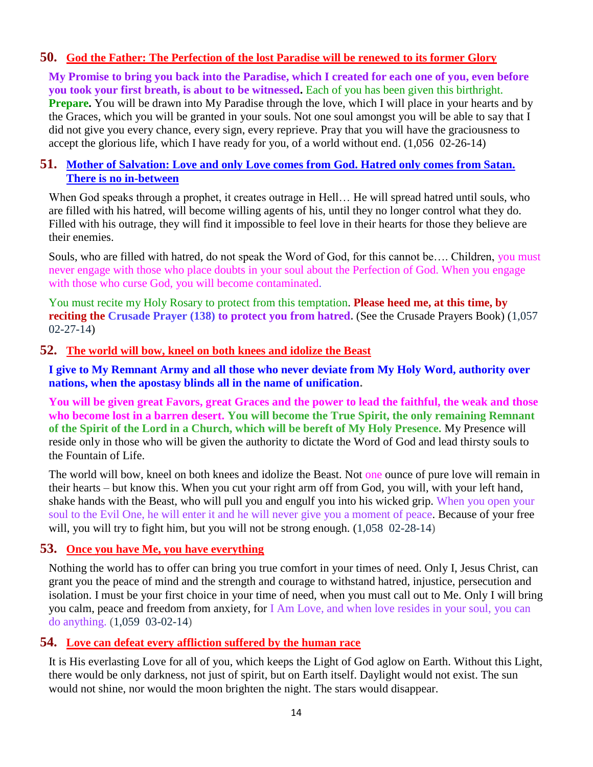#### **50. [God the Father: The Perfection of the lost Paradise will be renewed to its former Glory](http://www.thewarningsecondcoming.com/god-the-father-the-perfection-of-the-lost-paradise-will-be-renewed-to-its-former-glory/)**

**My Promise to bring you back into the Paradise, which I created for each one of you, even before you took your first breath, is about to be witnessed.** Each of you has been given this birthright. **Prepare.** You will be drawn into My Paradise through the love, which I will place in your hearts and by the Graces, which you will be granted in your souls. Not one soul amongst you will be able to say that I did not give you every chance, every sign, every reprieve. Pray that you will have the graciousness to accept the glorious life, which I have ready for you, of a world without end. (1,056 02-26-14)

#### **51. [Mother of Salvation: Love and only Love comes from God. Hatred only comes from Satan.](http://www.thewarningsecondcoming.com/mother-of-salvation-love-and-only-love-comes-from-god-hatred-only-comes-from-satan-there-is-no-in-between/)  [There is no in-between](http://www.thewarningsecondcoming.com/mother-of-salvation-love-and-only-love-comes-from-god-hatred-only-comes-from-satan-there-is-no-in-between/)**

When God speaks through a prophet, it creates outrage in Hell... He will spread hatred until souls, who are filled with his hatred, will become willing agents of his, until they no longer control what they do. Filled with his outrage, they will find it impossible to feel love in their hearts for those they believe are their enemies.

Souls, who are filled with hatred, do not speak the Word of God, for this cannot be…. Children, you must never engage with those who place doubts in your soul about the Perfection of God. When you engage with those who curse God, you will become contaminated.

You must recite my Holy Rosary to protect from this temptation. **Please heed me, at this time, by reciting the Crusade Prayer (138) to protect you from hatred. (See the Crusade Prayers Book) (1,057** 02-27-14)

#### **52. [The world will bow, kneel on both knees and idolize the Beast](http://www.thewarningsecondcoming.com/the-world-will-bow-kneel-on-both-knees-and-idolise-the-beast/)**

**I give to My Remnant Army and all those who never deviate from My Holy Word, authority over nations, when the apostasy blinds all in the name of unification.**

**You will be given great Favors, great Graces and the power to lead the faithful, the weak and those who become lost in a barren desert. You will become the True Spirit, the only remaining Remnant of the Spirit of the Lord in a Church, which will be bereft of My Holy Presence.** My Presence will reside only in those who will be given the authority to dictate the Word of God and lead thirsty souls to the Fountain of Life.

The world will bow, kneel on both knees and idolize the Beast. Not one ounce of pure love will remain in their hearts – but know this. When you cut your right arm off from God, you will, with your left hand, shake hands with the Beast, who will pull you and engulf you into his wicked grip. When you open your soul to the Evil One, he will enter it and he will never give you a moment of peace. Because of your free will, you will try to fight him, but you will not be strong enough. (1,058 02-28-14)

#### **53. [Once you have Me, you have everything](http://www.thewarningsecondcoming.com/once-you-have-me-you-have-everything/)**

Nothing the world has to offer can bring you true comfort in your times of need. Only I, Jesus Christ, can grant you the peace of mind and the strength and courage to withstand hatred, injustice, persecution and isolation. I must be your first choice in your time of need, when you must call out to Me. Only I will bring you calm, peace and freedom from anxiety, for I Am Love, and when love resides in your soul, you can do anything. (1,059 03-02-14)

#### **54. [Love can defeat every affliction suffered by the human race](http://www.thewarningsecondcoming.com/love-can-defeat-every-affliction-suffered-by-the-human-race/)**

It is His everlasting Love for all of you, which keeps the Light of God aglow on Earth. Without this Light, there would be only darkness, not just of spirit, but on Earth itself. Daylight would not exist. The sun would not shine, nor would the moon brighten the night. The stars would disappear.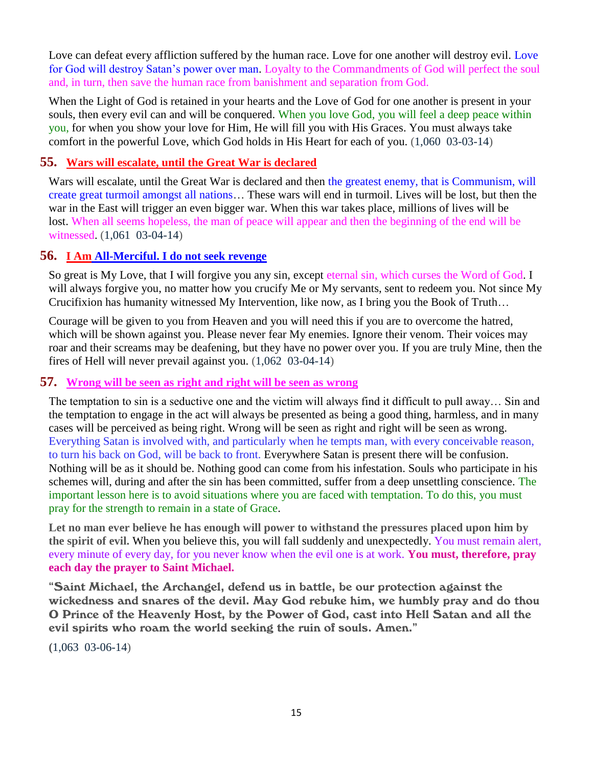Love can defeat every affliction suffered by the human race. Love for one another will destroy evil. Love for God will destroy Satan's power over man. Loyalty to the Commandments of God will perfect the soul and, in turn, then save the human race from banishment and separation from God.

When the Light of God is retained in your hearts and the Love of God for one another is present in your souls, then every evil can and will be conquered. When you love God, you will feel a deep peace within you, for when you show your love for Him, He will fill you with His Graces. You must always take comfort in the powerful Love, which God holds in His Heart for each of you. (1,060 03-03-14)

# **55. [Wars will escalate, until the Great War is declared](http://www.thewarningsecondcoming.com/wars-will-escalate-until-the-great-war-is-declared/)**

Wars will escalate, until the Great War is declared and then the greatest enemy, that is Communism, will create great turmoil amongst all nations… These wars will end in turmoil. Lives will be lost, but then the war in the East will trigger an even bigger war. When this war takes place, millions of lives will be lost. When all seems hopeless, the man of peace will appear and then the beginning of the end will be witnessed. (1,061 03-04-14)

#### **56. I Am [All-Merciful. I do not seek revenge](http://www.thewarningsecondcoming.com/i-am-all-merciful-i-do-not-seek-revenge/)**

So great is My Love, that I will forgive you any sin, except eternal sin, which curses the Word of God. I will always forgive you, no matter how you crucify Me or My servants, sent to redeem you. Not since My Crucifixion has humanity witnessed My Intervention, like now, as I bring you the Book of Truth…

Courage will be given to you from Heaven and you will need this if you are to overcome the hatred, which will be shown against you. Please never fear My enemies. Ignore their venom. Their voices may roar and their screams may be deafening, but they have no power over you. If you are truly Mine, then the fires of Hell will never prevail against you. (1,062 03-04-14)

#### **57. [Wrong will be seen as right and right will be seen as wrong](http://www.thewarningsecondcoming.com/wrong-will-be-seen-as-right-and-right-will-be-seen-as-wrong/)**

The temptation to sin is a seductive one and the victim will always find it difficult to pull away… Sin and the temptation to engage in the act will always be presented as being a good thing, harmless, and in many cases will be perceived as being right. Wrong will be seen as right and right will be seen as wrong. Everything Satan is involved with, and particularly when he tempts man, with every conceivable reason, to turn his back on God, will be back to front. Everywhere Satan is present there will be confusion. Nothing will be as it should be. Nothing good can come from his infestation. Souls who participate in his schemes will, during and after the sin has been committed, suffer from a deep unsettling conscience. The important lesson here is to avoid situations where you are faced with temptation. To do this, you must pray for the strength to remain in a state of Grace.

**Let no man ever believe he has enough will power to withstand the pressures placed upon him by the spirit of evil.** When you believe this, you will fall suddenly and unexpectedly. You must remain alert, every minute of every day, for you never know when the evil one is at work. **You must, therefore, pray each day the prayer to Saint Michael.**

"Saint Michael, the Archangel, defend us in battle, be our protection against the wickedness and snares of the devil. May God rebuke him, we humbly pray and do thou O Prince of the Heavenly Host, by the Power of God, cast into Hell Satan and all the evil spirits who roam the world seeking the ruin of souls. Amen."

**(**1,063 03-06-14)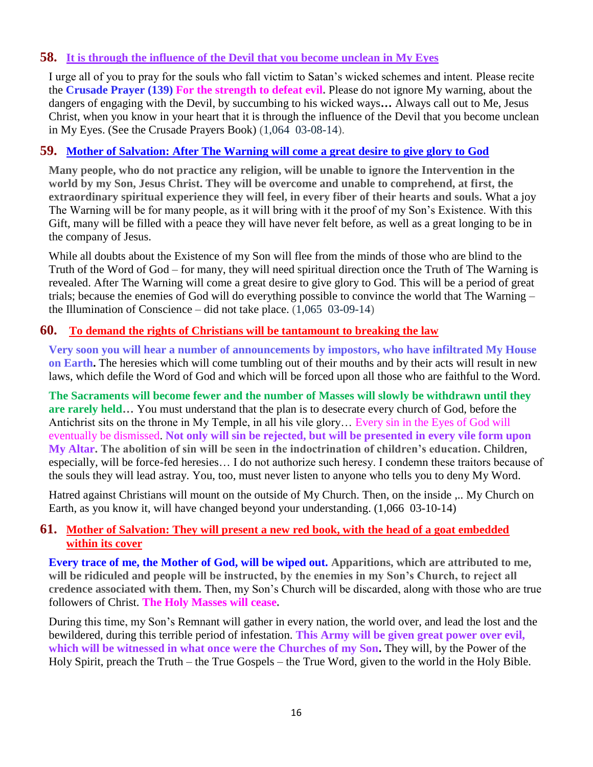#### **58. [It is through the influence of the Devil that you become unclean in My Eyes](http://www.thewarningsecondcoming.com/it-is-through-the-influence-of-the-devil-that-you-become-unclean-in-my-eyes/)**

I urge all of you to pray for the souls who fall victim to Satan's wicked schemes and intent. Please recite the **Crusade Prayer (139) For the strength to defeat evil.** Please do not ignore My warning, about the dangers of engaging with the Devil, by succumbing to his wicked ways**…** Always call out to Me, Jesus Christ, when you know in your heart that it is through the influence of the Devil that you become unclean in My Eyes. (See the Crusade Prayers Book) (1,064 03-08-14).

# **59. Mother of [Salvation: After The Warning will come a great desire to give glory to God](http://www.thewarningsecondcoming.com/mother-of-salvation-after-the-warning-will-come-a-great-desire-to-give-glory-to-god-2/)**

**Many people, who do not practice any religion, will be unable to ignore the Intervention in the world by my Son, Jesus Christ. They will be overcome and unable to comprehend, at first, the extraordinary spiritual experience they will feel, in every fiber of their hearts and souls.** What a joy The Warning will be for many people, as it will bring with it the proof of my Son's Existence. With this Gift, many will be filled with a peace they will have never felt before, as well as a great longing to be in the company of Jesus.

While all doubts about the Existence of my Son will flee from the minds of those who are blind to the Truth of the Word of God – for many, they will need spiritual direction once the Truth of The Warning is revealed. After The Warning will come a great desire to give glory to God. This will be a period of great trials; because the enemies of God will do everything possible to convince the world that The Warning – the Illumination of Conscience – did not take place. (1,065 03-09-14)

#### **60. [To demand the rights of Christians will be tantamount to breaking the law](http://www.thewarningsecondcoming.com/to-demand-the-rights-of-christians-will-be-tantamount-to-breaking-the-law/)**

**Very soon you will hear a number of announcements by impostors, who have infiltrated My House on Earth.** The heresies which will come tumbling out of their mouths and by their acts will result in new laws, which defile the Word of God and which will be forced upon all those who are faithful to the Word.

**The Sacraments will become fewer and the number of Masses will slowly be withdrawn until they are rarely held…** You must understand that the plan is to desecrate every church of God, before the Antichrist sits on the throne in My Temple, in all his vile glory… Every sin in the Eyes of God will eventually be dismissed. **Not only will sin be rejected, but will be presented in every vile form upon My Altar. The abolition of sin will be seen in the indoctrination of children's education.** Children, especially, will be force-fed heresies… I do not authorize such heresy. I condemn these traitors because of the souls they will lead astray. You, too, must never listen to anyone who tells you to deny My Word.

Hatred against Christians will mount on the outside of My Church. Then, on the inside ,.. My Church on Earth, as you know it, will have changed beyond your understanding. (1,066 03-10-14)

# **61. [Mother of Salvation: They will present a new red book, with the head of a goat embedded](http://www.thewarningsecondcoming.com/mother-of-salvation-they-will-present-a-new-red-book-with-the-head-of-a-goat-embedded-within-its-cover/)  [within its cover](http://www.thewarningsecondcoming.com/mother-of-salvation-they-will-present-a-new-red-book-with-the-head-of-a-goat-embedded-within-its-cover/)**

**Every trace of me, the Mother of God, will be wiped out. Apparitions, which are attributed to me, will be ridiculed and people will be instructed, by the enemies in my Son's Church, to reject all credence associated with them.** Then, my Son's Church will be discarded, along with those who are true followers of Christ. **The Holy Masses will cease.**

During this time, my Son's Remnant will gather in every nation, the world over, and lead the lost and the bewildered, during this terrible period of infestation. **This Army will be given great power over evil, which will be witnessed in what once were the Churches of my Son.** They will, by the Power of the Holy Spirit, preach the Truth – the True Gospels – the True Word, given to the world in the Holy Bible.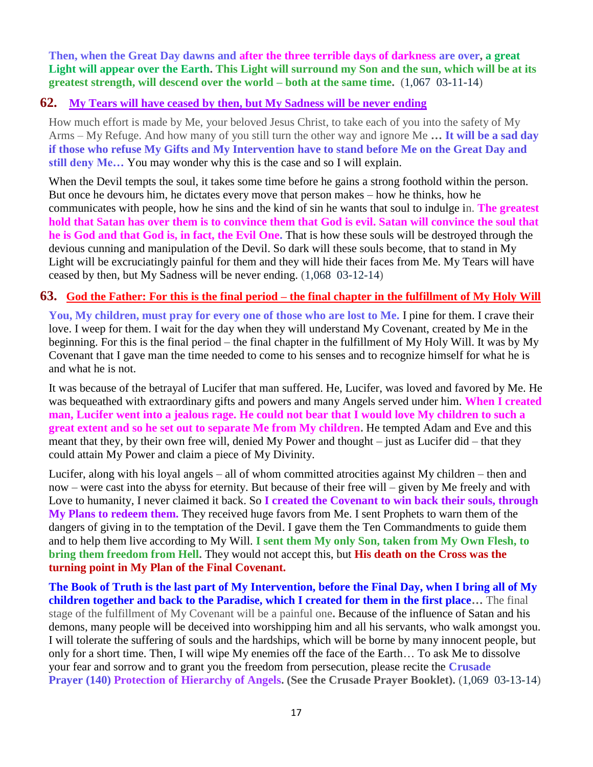**Then, when the Great Day dawns and after the three terrible days of darkness are over, a great Light will appear over the Earth. This Light will surround my Son and the sun, which will be at its greatest strength, will descend over the world – both at the same time.** (1,067 03-11-14)

#### **62. [My Tears will have ceased by then, but My Sadness will be never ending](http://www.thewarningsecondcoming.com/my-tears-will-have-ceased-by-then-but-my-sadness-will-be-never-ending/)**

How much effort is made by Me, your beloved Jesus Christ, to take each of you into the safety of My Arms – My Refuge. And how many of you still turn the other way and ignore Me **… It will be a sad day if those who refuse My Gifts and My Intervention have to stand before Me on the Great Day and still deny Me…** You may wonder why this is the case and so I will explain.

When the Devil tempts the soul, it takes some time before he gains a strong foothold within the person. But once he devours him, he dictates every move that person makes – how he thinks, how he communicates with people, how he sins and the kind of sin he wants that soul to indulge in. **The greatest hold that Satan has over them is to convince them that God is evil. Satan will convince the soul that he is God and that God is, in fact, the Evil One.** That is how these souls will be destroyed through the devious cunning and manipulation of the Devil. So dark will these souls become, that to stand in My Light will be excruciatingly painful for them and they will hide their faces from Me. My Tears will have ceased by then, but My Sadness will be never ending. (1,068 03-12-14)

#### **63. God the Father: For this is the final period – [the final chapter in the fulfillment of My Holy Will](http://www.thewarningsecondcoming.com/god-the-father-for-this-is-the-final-period-the-final-chapter-in-the-fulfillment-of-my-holy-will/)**

**You, My children, must pray for every one of those who are lost to Me.** I pine for them. I crave their love. I weep for them. I wait for the day when they will understand My Covenant, created by Me in the beginning. For this is the final period – the final chapter in the fulfillment of My Holy Will. It was by My Covenant that I gave man the time needed to come to his senses and to recognize himself for what he is and what he is not.

It was because of the betrayal of Lucifer that man suffered. He, Lucifer, was loved and favored by Me. He was bequeathed with extraordinary gifts and powers and many Angels served under him. **When I created man, Lucifer went into a jealous rage. He could not bear that I would love My children to such a great extent and so he set out to separate Me from My children.** He tempted Adam and Eve and this meant that they, by their own free will, denied My Power and thought – just as Lucifer did – that they could attain My Power and claim a piece of My Divinity.

Lucifer, along with his loyal angels – all of whom committed atrocities against My children – then and now – were cast into the abyss for eternity. But because of their free will – given by Me freely and with Love to humanity, I never claimed it back. So **I created the Covenant to win back their souls, through My Plans to redeem them.** They received huge favors from Me. I sent Prophets to warn them of the dangers of giving in to the temptation of the Devil. I gave them the Ten Commandments to guide them and to help them live according to My Will. **I sent them My only Son, taken from My Own Flesh, to bring them freedom from Hell.** They would not accept this, but **His death on the Cross was the turning point in My Plan of the Final Covenant.**

**The Book of Truth is the last part of My Intervention, before the Final Day, when I bring all of My children together and back to the Paradise, which I created for them in the first place…** The final stage of the fulfillment of My Covenant will be a painful one**.** Because of the influence of Satan and his demons, many people will be deceived into worshipping him and all his servants, who walk amongst you. I will tolerate the suffering of souls and the hardships, which will be borne by many innocent people, but only for a short time. Then, I will wipe My enemies off the face of the Earth… To ask Me to dissolve your fear and sorrow and to grant you the freedom from persecution, please recite the **Crusade Prayer (140) Protection of Hierarchy of Angels. (See the Crusade Prayer Booklet).** (1,069 03-13-14)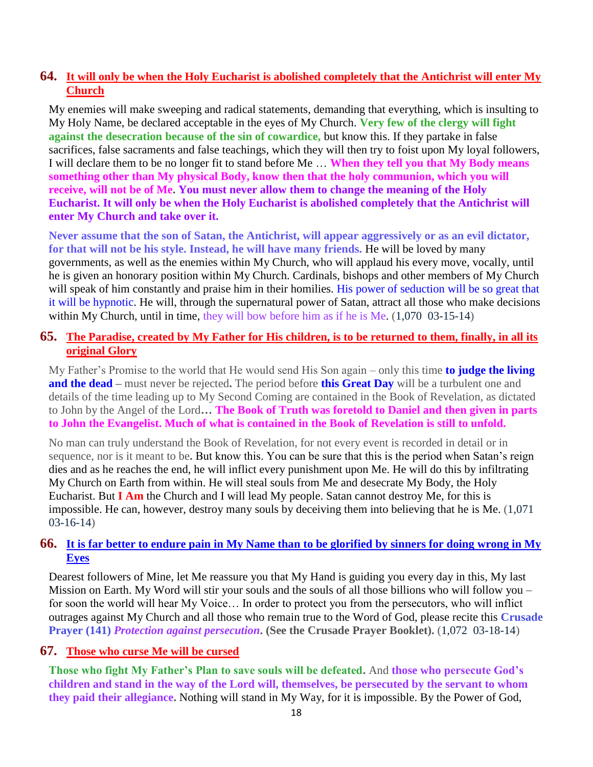# **64. [It will only be when the Holy Eucharist is abolished completely that the Antichrist will enter My](http://www.thewarningsecondcoming.com/it-will-only-be-when-the-holy-eucharist-is-abolished-completely-that-the-antichrist-will-enter-my-church/)  [Church](http://www.thewarningsecondcoming.com/it-will-only-be-when-the-holy-eucharist-is-abolished-completely-that-the-antichrist-will-enter-my-church/)**

My enemies will make sweeping and radical statements, demanding that everything, which is insulting to My Holy Name, be declared acceptable in the eyes of My Church. **Very few of the clergy will fight against the desecration because of the sin of cowardice,** but know this. If they partake in false sacrifices, false sacraments and false teachings, which they will then try to foist upon My loyal followers, I will declare them to be no longer fit to stand before Me … **When they tell you that My Body means something other than My physical Body, know then that the holy communion, which you will receive, will not be of Me. You must never allow them to change the meaning of the Holy Eucharist. It will only be when the Holy Eucharist is abolished completely that the Antichrist will enter My Church and take over it.**

**Never assume that the son of Satan, the Antichrist, will appear aggressively or as an evil dictator, for that will not be his style. Instead, he will have many friends.** He will be loved by many governments, as well as the enemies within My Church, who will applaud his every move, vocally, until he is given an honorary position within My Church. Cardinals, bishops and other members of My Church will speak of him constantly and praise him in their homilies. His power of seduction will be so great that it will be hypnotic. He will, through the supernatural power of Satan, attract all those who make decisions within My Church, until in time, they will bow before him as if he is Me. (1,070 03-15-14)

#### **65. [The Paradise, created by My Father for His children, is to be returned to them, finally, in all its](http://www.thewarningsecondcoming.com/the-paradise-created-by-my-father-for-his-children-is-to-be-returned-to-them-finally-in-all-its-original-glory/)  [original Glory](http://www.thewarningsecondcoming.com/the-paradise-created-by-my-father-for-his-children-is-to-be-returned-to-them-finally-in-all-its-original-glory/)**

My Father's Promise to the world that He would send His Son again – only this time **to judge the living and the dead –** must never be rejected**.** The period before **this Great Day** will be a turbulent one and details of the time leading up to My Second Coming are contained in the Book of Revelation, as dictated to John by the Angel of the Lord**… The Book of Truth was foretold to Daniel and then given in parts to John the Evangelist. Much of what is contained in the Book of Revelation is still to unfold.**

No man can truly understand the Book of Revelation, for not every event is recorded in detail or in sequence, nor is it meant to be**.** But know this. You can be sure that this is the period when Satan's reign dies and as he reaches the end, he will inflict every punishment upon Me. He will do this by infiltrating My Church on Earth from within. He will steal souls from Me and desecrate My Body, the Holy Eucharist. But **I Am** the Church and I will lead My people. Satan cannot destroy Me, for this is impossible. He can, however, destroy many souls by deceiving them into believing that he is Me. (1,071 03-16-14)

# **66. [It is far better to endure pain in My Name than to be glorified by sinners for doing wrong in My](http://www.thewarningsecondcoming.com/it-is-far-better-to-endure-pain-in-my-name-than-to-be-glorified-by-sinners-for-doing-wrong-in-my-eyes/)  [Eyes](http://www.thewarningsecondcoming.com/it-is-far-better-to-endure-pain-in-my-name-than-to-be-glorified-by-sinners-for-doing-wrong-in-my-eyes/)**

Dearest followers of Mine, let Me reassure you that My Hand is guiding you every day in this, My last Mission on Earth. My Word will stir your souls and the souls of all those billions who will follow you – for soon the world will hear My Voice… In order to protect you from the persecutors, who will inflict outrages against My Church and all those who remain true to the Word of God, please recite this **Crusade Prayer (141)** *Protection against persecution***. (See the Crusade Prayer Booklet).** (1,072 03-18-14)

#### **67. [Those who curse Me will be cursed](http://www.thewarningsecondcoming.com/those-who-curse-me-will-be-cursed/)**

**Those who fight My Father's Plan to save souls will be defeated.** And **those who persecute God's children and stand in the way of the Lord will, themselves, be persecuted by the servant to whom they paid their allegiance.** Nothing will stand in My Way, for it is impossible. By the Power of God,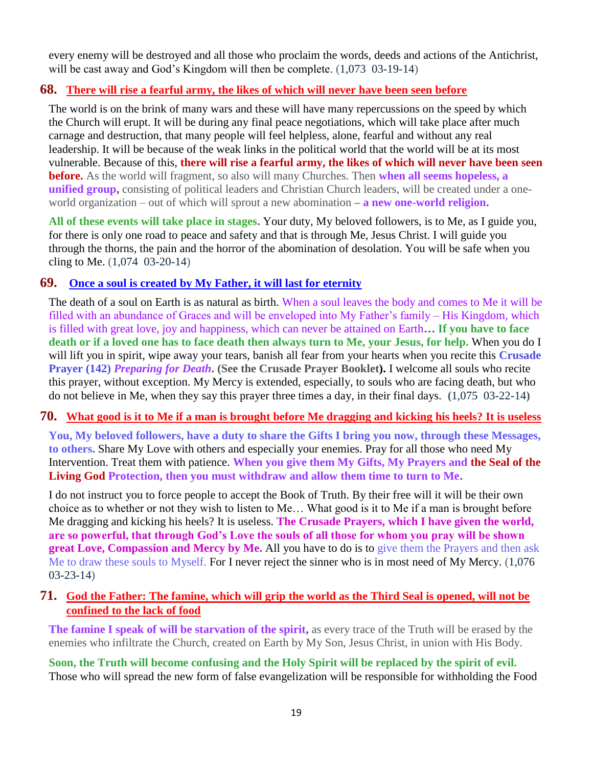every enemy will be destroyed and all those who proclaim the words, deeds and actions of the Antichrist, will be cast away and God's Kingdom will then be complete.  $(1,073, 03-19-14)$ 

#### **68. [There will rise a fearful army, the likes of which will never have been seen before](http://www.thewarningsecondcoming.com/there-will-rise-a-fearful-army-the-likes-of-which-will-never-have-been-seen-before/)**

The world is on the brink of many wars and these will have many repercussions on the speed by which the Church will erupt. It will be during any final peace negotiations, which will take place after much carnage and destruction, that many people will feel helpless, alone, fearful and without any real leadership. It will be because of the weak links in the political world that the world will be at its most vulnerable. Because of this, **there will rise a fearful army, the likes of which will never have been seen before.** As the world will fragment, so also will many Churches. Then **when all seems hopeless, a unified group,** consisting of political leaders and Christian Church leaders, will be created under a oneworld organization – out of which will sprout a new abomination **– a new one-world religion.**

**All of these events will take place in stages.** Your duty, My beloved followers, is to Me, as I guide you, for there is only one road to peace and safety and that is through Me, Jesus Christ. I will guide you through the thorns, the pain and the horror of the abomination of desolation. You will be safe when you cling to Me. (1,074 03-20-14)

# **69. Once a soul is created by [My Father, it will last for eternity](http://www.thewarningsecondcoming.com/once-a-soul-is-created-by-my-father-it-will-last-for-eternity/)**

The death of a soul on Earth is as natural as birth. When a soul leaves the body and comes to Me it will be filled with an abundance of Graces and will be enveloped into My Father's family – His Kingdom, which is filled with great love, joy and happiness, which can never be attained on Earth**… If you have to face death or if a loved one has to face death then always turn to Me, your Jesus, for help.** When you do I will lift you in spirit, wipe away your tears, banish all fear from your hearts when you recite this **Crusade Prayer (142)** *Preparing for Death***. (See the Crusade Prayer Booklet).** I welcome all souls who recite this prayer, without exception. My Mercy is extended, especially, to souls who are facing death, but who do not believe in Me, when they say this prayer three times a day, in their final days. **(**1,075 03-22-14**)**

#### **70. [What good is it to Me if a man is brought before Me dragging and kicking his heels? It is useless](http://www.thewarningsecondcoming.com/what-good-is-it-to-me-if-a-man-is-brought-before-me-dragging-and-kicking-his-heels-it-is-useless/)**

**You, My beloved followers, have a duty to share the Gifts I bring you now, through these Messages, to others.** Share My Love with others and especially your enemies. Pray for all those who need My Intervention. Treat them with patience. **When you give them My Gifts, My Prayers and the Seal of the Living God Protection, then you must withdraw and allow them time to turn to Me.**

I do not instruct you to force people to accept the Book of Truth. By their free will it will be their own choice as to whether or not they wish to listen to Me… What good is it to Me if a man is brought before Me dragging and kicking his heels? It is useless. **The Crusade Prayers, which I have given the world, are so powerful, that through God's Love the souls of all those for whom you pray will be shown great Love, Compassion and Mercy by Me.** All you have to do is to give them the Prayers and then ask Me to draw these souls to Myself. For I never reject the sinner who is in most need of My Mercy. (1,076 03-23-14)

#### **71. [God the Father: The famine, which will grip the world as the Third Seal is opened, will not be](http://www.thewarningsecondcoming.com/god-the-father-the-famine-which-will-grip-the-world-as-the-third-seal-is-opened-will-not-be-confined-to-the-lack-of-food/)  [confined to the lack of food](http://www.thewarningsecondcoming.com/god-the-father-the-famine-which-will-grip-the-world-as-the-third-seal-is-opened-will-not-be-confined-to-the-lack-of-food/)**

**The famine I speak of will be starvation of the spirit,** as every trace of the Truth will be erased by the enemies who infiltrate the Church, created on Earth by My Son, Jesus Christ, in union with His Body.

**Soon, the Truth will become confusing and the Holy Spirit will be replaced by the spirit of evil.**  Those who will spread the new form of false evangelization will be responsible for withholding the Food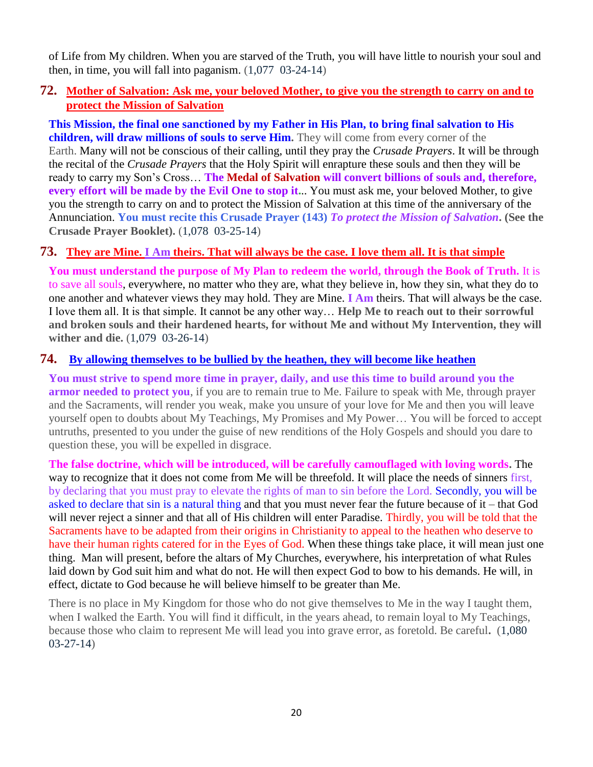of Life from My children. When you are starved of the Truth, you will have little to nourish your soul and then, in time, you will fall into paganism. (1,077 03-24-14)

## **72. [Mother of Salvation: Ask me, your beloved Mother, to give you the strength to carry on and to](http://www.thewarningsecondcoming.com/mother-of-salvation-ask-me-your-beloved-mother-to-give-you-the-strength-to-carry-on-and-to-protect-the-mission-of-salvation/)  [protect the Mission of Salvation](http://www.thewarningsecondcoming.com/mother-of-salvation-ask-me-your-beloved-mother-to-give-you-the-strength-to-carry-on-and-to-protect-the-mission-of-salvation/)**

**This Mission, the final one sanctioned by my Father in His Plan, to bring final salvation to His children, will draw millions of souls to serve Him.** They will come from every corner of the Earth. Many will not be conscious of their calling, until they pray the *Crusade Prayers*. It will be through the recital of the *Crusade Prayers* that the Holy Spirit will enrapture these souls and then they will be ready to carry my Son's Cross… **The Medal of Salvation will convert billions of souls and, therefore, every effort will be made by the Evil One to stop it.**.. You must ask me, your beloved Mother, to give you the strength to carry on and to protect the Mission of Salvation at this time of the anniversary of the Annunciation. **You must recite this Crusade Prayer (143)** *To protect the Mission of Salvation***. (See the Crusade Prayer Booklet).** (1,078 03-25-14)

# **73. They are Mine. I Am [theirs. That will always be the case. I love them all. It is that simple](http://www.thewarningsecondcoming.com/they-are-mine-i-am-theirs-that-will-always-be-the-case-i-love-them-all-it-is-that-simple/)**

**You must understand the purpose of My Plan to redeem the world, through the Book of Truth.** It is to save all souls, everywhere, no matter who they are, what they believe in, how they sin, what they do to one another and whatever views they may hold. They are Mine. **I Am** theirs. That will always be the case. I love them all. It is that simple. It cannot be any other way… **Help Me to reach out to their sorrowful and broken souls and their hardened hearts, for without Me and without My Intervention, they will wither and die.** (1,079 03-26-14)

#### **74. [By allowing themselves to be bullied by the heathen, they will become like heathen](http://www.thewarningsecondcoming.com/by-allowing-themselves-to-be-bullied-by-the-heathen-they-will-become-like-heathen/)**

**You must strive to spend more time in prayer, daily, and use this time to build around you the armor needed to protect you**, if you are to remain true to Me. Failure to speak with Me, through prayer and the Sacraments, will render you weak, make you unsure of your love for Me and then you will leave yourself open to doubts about My Teachings, My Promises and My Power… You will be forced to accept untruths, presented to you under the guise of new renditions of the Holy Gospels and should you dare to question these, you will be expelled in disgrace.

**The false doctrine, which will be introduced, will be carefully camouflaged with loving words.** The way to recognize that it does not come from Me will be threefold. It will place the needs of sinners first, by declaring that you must pray to elevate the rights of man to sin before the Lord. Secondly, you will be asked to declare that sin is a natural thing and that you must never fear the future because of it – that God will never reject a sinner and that all of His children will enter Paradise. Thirdly, you will be told that the Sacraments have to be adapted from their origins in Christianity to appeal to the heathen who deserve to have their human rights catered for in the Eyes of God. When these things take place, it will mean just one thing. Man will present, before the altars of My Churches, everywhere, his interpretation of what Rules laid down by God suit him and what do not. He will then expect God to bow to his demands. He will, in effect, dictate to God because he will believe himself to be greater than Me.

There is no place in My Kingdom for those who do not give themselves to Me in the way I taught them, when I walked the Earth. You will find it difficult, in the years ahead, to remain loyal to My Teachings, because those who claim to represent Me will lead you into grave error, as foretold. Be careful**.** (1,080 03-27-14)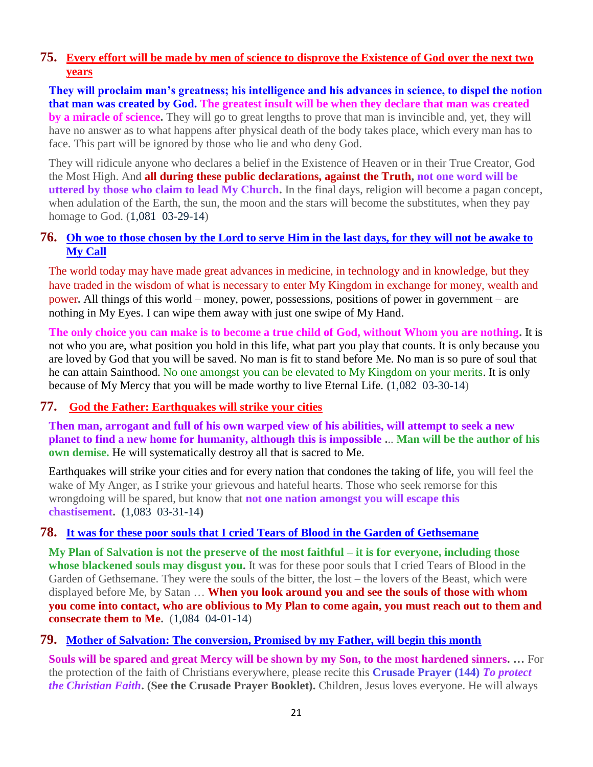# **75. [Every effort will be made by men of science to disprove the Existence of God over the next two](http://www.thewarningsecondcoming.com/every-effort-will-be-made-by-men-of-science-to-disprove-the-existence-of-god-over-the-next-two-years/)  [years](http://www.thewarningsecondcoming.com/every-effort-will-be-made-by-men-of-science-to-disprove-the-existence-of-god-over-the-next-two-years/)**

**They will proclaim man's greatness; his intelligence and his advances in science, to dispel the notion that man was created by God. The greatest insult will be when they declare that man was created by a miracle of science.** They will go to great lengths to prove that man is invincible and, yet, they will have no answer as to what happens after physical death of the body takes place, which every man has to face. This part will be ignored by those who lie and who deny God.

They will ridicule anyone who declares a belief in the Existence of Heaven or in their True Creator, God the Most High. And **all during these public declarations, against the Truth, not one word will be uttered by those who claim to lead My Church.** In the final days, religion will become a pagan concept, when adulation of the Earth, the sun, the moon and the stars will become the substitutes, when they pay homage to God. (1,081 03-29-14)

#### **76. [Oh woe to those chosen by the Lord to serve Him in the last days, for they will not be awake to](http://www.thewarningsecondcoming.com/oh-woe-to-those-chosen-by-the-lord-to-serve-him-in-the-last-days-for-they-will-not-be-awake-to-my-call/)  [My Call](http://www.thewarningsecondcoming.com/oh-woe-to-those-chosen-by-the-lord-to-serve-him-in-the-last-days-for-they-will-not-be-awake-to-my-call/)**

The world today may have made great advances in medicine, in technology and in knowledge, but they have traded in the wisdom of what is necessary to enter My Kingdom in exchange for money, wealth and power**.** All things of this world – money, power, possessions, positions of power in government – are nothing in My Eyes. I can wipe them away with just one swipe of My Hand.

**The only choice you can make is to become a true child of God, without Whom you are nothing.** It is not who you are, what position you hold in this life, what part you play that counts. It is only because you are loved by God that you will be saved. No man is fit to stand before Me. No man is so pure of soul that he can attain Sainthood. No one amongst you can be elevated to My Kingdom on your merits. It is only because of My Mercy that you will be made worthy to live Eternal Life. **(**1,082 03-30-14)

# **77. [God the Father: Earthquakes will strike your cities](http://www.thewarningsecondcoming.com/god-the-father-earthquakes-will-strike-your-cities/)**

**Then man, arrogant and full of his own warped view of his abilities, will attempt to seek a new planet to find a new home for humanity, although this is impossible .**.. **Man will be the author of his own demise.** He will systematically destroy all that is sacred to Me.

Earthquakes will strike your cities and for every nation that condones the taking of life, you will feel the wake of My Anger, as I strike your grievous and hateful hearts. Those who seek remorse for this wrongdoing will be spared, but know that **not one nation amongst you will escape this chastisement. (**1,083 03-31-14**)**

# **78. [It was for these poor souls that I cried Tears of Blood in the Garden of Gethsemane](http://www.thewarningsecondcoming.com/it-was-for-these-poor-souls-that-i-cried-tears-of-blood-in-the-garden-of-gethsemane/)**

**My Plan of Salvation is not the preserve of the most faithful – it is for everyone, including those whose blackened souls may disgust you.** It was for these poor souls that I cried Tears of Blood in the Garden of Gethsemane. They were the souls of the bitter, the lost – the lovers of the Beast, which were displayed before Me, by Satan … **When you look around you and see the souls of those with whom you come into contact, who are oblivious to My Plan to come again, you must reach out to them and consecrate them to Me.** (1,084 04-01-14)

#### **79. [Mother of Salvation: The conversion, Promised by my Father, will begin this month](http://www.thewarningsecondcoming.com/mother-of-salvation-the-conversion-promised-by-my-father-will-begin-this-month/)**

**Souls will be spared and great Mercy will be shown by my Son, to the most hardened sinners. …** For the protection of the faith of Christians everywhere, please recite this **Crusade Prayer (144)** *To protect the Christian Faith***. (See the Crusade Prayer Booklet).** Children, Jesus loves everyone. He will always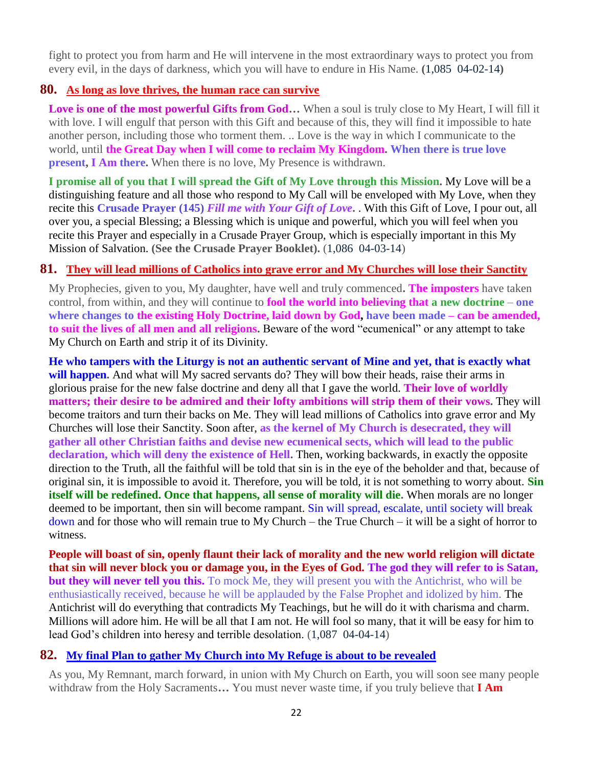fight to protect you from harm and He will intervene in the most extraordinary ways to protect you from every evil, in the days of darkness, which you will have to endure in His Name. **(**1,085 04-02-14**)**

#### **80. [As long as love thrives, the human race can survive](http://www.thewarningsecondcoming.com/as-long-as-love-thrives-the-human-race-can-survive/)**

**Love is one of the most powerful Gifts from God…** When a soul is truly close to My Heart, I will fill it with love. I will engulf that person with this Gift and because of this, they will find it impossible to hate another person, including those who torment them. .. Love is the way in which I communicate to the world, until **the Great Day when I will come to reclaim My Kingdom. When there is true love present, I Am there.** When there is no love, My Presence is withdrawn.

**I promise all of you that I will spread the Gift of My Love through this Mission.** My Love will be a distinguishing feature and all those who respond to My Call will be enveloped with My Love, when they recite this **Crusade Prayer (145)** *Fill me with Your Gift of Love***.** . With this Gift of Love, I pour out, all over you, a special Blessing; a Blessing which is unique and powerful, which you will feel when you recite this Prayer and especially in a Crusade Prayer Group, which is especially important in this My Mission of Salvation. **(See the Crusade Prayer Booklet).** (1,086 04-03-14)

# **81. [They will lead millions of Catholics into grave error and My Churches will lose their Sanctity](http://www.thewarningsecondcoming.com/they-will-lead-millions-of-catholics-into-grave-error-and-my-churches-will-lose-their-sanctity/)**

My Prophecies, given to you, My daughter, have well and truly commenced**. The imposters** have taken control, from within, and they will continue to **fool the world into believing that a new doctrine – one where changes to the existing Holy Doctrine, laid down by God, have been made – can be amended, to suit the lives of all men and all religions.** Beware of the word "ecumenical" or any attempt to take My Church on Earth and strip it of its Divinity.

**He who tampers with the Liturgy is not an authentic servant of Mine and yet, that is exactly what will happen.** And what will My sacred servants do? They will bow their heads, raise their arms in glorious praise for the new false doctrine and deny all that I gave the world. **Their love of worldly matters; their desire to be admired and their lofty ambitions will strip them of their vows.** They will become traitors and turn their backs on Me. They will lead millions of Catholics into grave error and My Churches will lose their Sanctity. Soon after, **as the kernel of My Church is desecrated, they will gather all other Christian faiths and devise new ecumenical sects, which will lead to the public declaration, which will deny the existence of Hell.** Then, working backwards, in exactly the opposite direction to the Truth, all the faithful will be told that sin is in the eye of the beholder and that, because of original sin, it is impossible to avoid it. Therefore, you will be told, it is not something to worry about. **Sin itself will be redefined. Once that happens, all sense of morality will die.** When morals are no longer deemed to be important, then sin will become rampant. Sin will spread, escalate, until society will break down and for those who will remain true to My Church – the True Church – it will be a sight of horror to witness.

**People will boast of sin, openly flaunt their lack of morality and the new world religion will dictate that sin will never block you or damage you, in the Eyes of God. The god they will refer to is Satan, but they will never tell you this.** To mock Me, they will present you with the Antichrist, who will be enthusiastically received, because he will be applauded by the False Prophet and idolized by him. The Antichrist will do everything that contradicts My Teachings, but he will do it with charisma and charm. Millions will adore him. He will be all that I am not. He will fool so many, that it will be easy for him to lead God's children into heresy and terrible desolation. (1,087 04-04-14)

# **82. [My final Plan to gather My Church into My Refuge is about to be revealed](http://www.thewarningsecondcoming.com/my-final-plan-to-gather-my-church-into-my-refuge-is-about-to-be-revealed/)**

As you, My Remnant, march forward, in union with My Church on Earth, you will soon see many people withdraw from the Holy Sacraments**…** You must never waste time, if you truly believe that **I Am**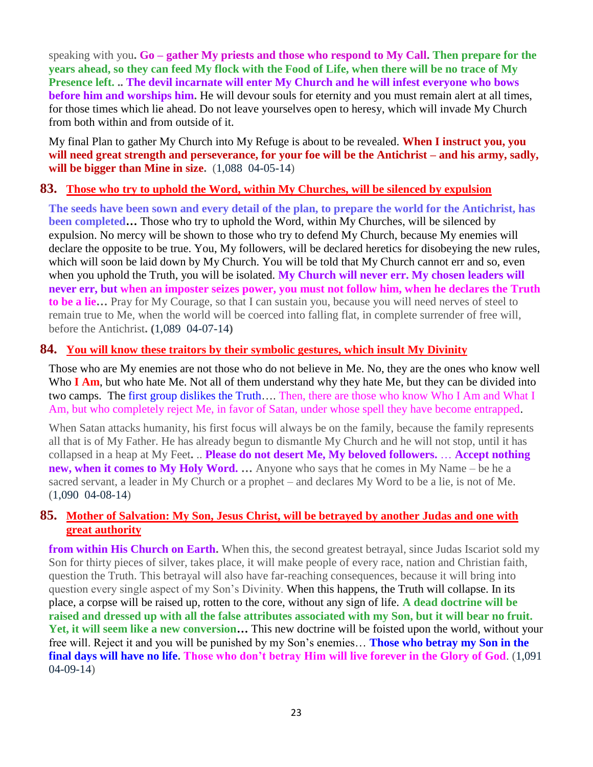speaking with you**. Go – gather My priests and those who respond to My Call. Then prepare for the years ahead, so they can feed My flock with the Food of Life, when there will be no trace of My Presence left. .. The devil incarnate will enter My Church and he will infest everyone who bows before him and worships him.** He will devour souls for eternity and you must remain alert at all times, for those times which lie ahead. Do not leave yourselves open to heresy, which will invade My Church from both within and from outside of it.

My final Plan to gather My Church into My Refuge is about to be revealed. **When I instruct you, you will need great strength and perseverance, for your foe will be the Antichrist – and his army, sadly, will be bigger than Mine in size.** (1,088 04-05-14)

#### **83. [Those who try to uphold the Word, within My Churches, will be silenced by expulsion](http://www.thewarningsecondcoming.com/those-who-try-to-uphold-the-word-within-my-churches-will-be-silenced-by-expulsion/)**

**The seeds have been sown and every detail of the plan, to prepare the world for the Antichrist, has been completed…** Those who try to uphold the Word, within My Churches, will be silenced by expulsion. No mercy will be shown to those who try to defend My Church, because My enemies will declare the opposite to be true. You, My followers, will be declared heretics for disobeying the new rules, which will soon be laid down by My Church. You will be told that My Church cannot err and so, even when you uphold the Truth, you will be isolated. **My Church will never err. My chosen leaders will never err, but when an imposter seizes power, you must not follow him, when he declares the Truth to be a lie…** Pray for My Courage, so that I can sustain you, because you will need nerves of steel to remain true to Me, when the world will be coerced into falling flat, in complete surrender of free will, before the Antichrist**. (**1,089 04-07-14**)**

#### **84. [You will know these traitors by their symbolic gestures, which insult My Divinity](http://www.thewarningsecondcoming.com/you-will-know-these-traitors-by-their-symbolic-gestures-which-insult-my-divinity/)**

Those who are My enemies are not those who do not believe in Me. No, they are the ones who know well Who **I Am**, but who hate Me. Not all of them understand why they hate Me, but they can be divided into two camps. The first group dislikes the Truth…. Then, there are those who know Who I Am and What I Am, but who completely reject Me, in favor of Satan, under whose spell they have become entrapped.

When Satan attacks humanity, his first focus will always be on the family, because the family represents all that is of My Father. He has already begun to dismantle My Church and he will not stop, until it has collapsed in a heap at My Feet**.** .. **Please do not desert Me, My beloved followers.** … **Accept nothing new, when it comes to My Holy Word. …** Anyone who says that he comes in My Name – be he a sacred servant, a leader in My Church or a prophet – and declares My Word to be a lie, is not of Me. (1,090 04-08-14)

#### **85. [Mother of Salvation: My Son, Jesus Christ, will be betrayed by another Judas and one with](http://www.thewarningsecondcoming.com/mother-of-salvation-my-son-jesus-christ-will-be-betrayed-by-another-judas-and-one-with-great-authority/)  [great authority](http://www.thewarningsecondcoming.com/mother-of-salvation-my-son-jesus-christ-will-be-betrayed-by-another-judas-and-one-with-great-authority/)**

**from within His Church on Earth.** When this, the second greatest betrayal, since Judas Iscariot sold my Son for thirty pieces of silver, takes place, it will make people of every race, nation and Christian faith, question the Truth. This betrayal will also have far-reaching consequences, because it will bring into question every single aspect of my Son's Divinity. When this happens, the Truth will collapse. In its place, a corpse will be raised up, rotten to the core, without any sign of life. **A dead doctrine will be raised and dressed up with all the false attributes associated with my Son, but it will bear no fruit. Yet, it will seem like a new conversion…** This new doctrine will be foisted upon the world, without your free will. Reject it and you will be punished by my Son's enemies… **Those who betray my Son in the final days will have no life. Those who don't betray Him will live forever in the Glory of God**. (1,091 04-09-14)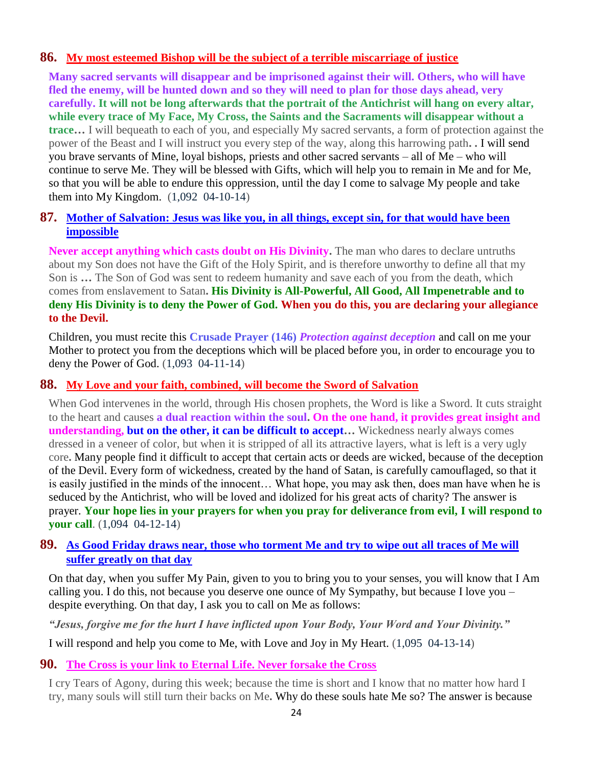#### **86. [My most esteemed Bishop will be the subject of a terrible miscarriage of justice](http://www.thewarningsecondcoming.com/my-most-esteemed-bishop-will-be-the-subject-of-a-terrible-miscarriage-of-justice/)**

**Many sacred servants will disappear and be imprisoned against their will. Others, who will have fled the enemy, will be hunted down and so they will need to plan for those days ahead, very carefully. It will not be long afterwards that the portrait of the Antichrist will hang on every altar, while every trace of My Face, My Cross, the Saints and the Sacraments will disappear without a trace…** I will bequeath to each of you, and especially My sacred servants, a form of protection against the power of the Beast and I will instruct you every step of the way, along this harrowing path**. .** I will send you brave servants of Mine, loyal bishops, priests and other sacred servants – all of Me – who will continue to serve Me. They will be blessed with Gifts, which will help you to remain in Me and for Me, so that you will be able to endure this oppression, until the day I come to salvage My people and take them into My Kingdom. (1,092 04-10-14)

#### **87. [Mother of Salvation: Jesus was like you, in all things, except sin, for that would have been](http://www.thewarningsecondcoming.com/mother-of-salvation-jesus-was-like-you-in-all-things-except-sin-for-that-would-have-been-impossible/)  [impossible](http://www.thewarningsecondcoming.com/mother-of-salvation-jesus-was-like-you-in-all-things-except-sin-for-that-would-have-been-impossible/)**

**Never accept anything which casts doubt on His Divinity.** The man who dares to declare untruths about my Son does not have the Gift of the Holy Spirit, and is therefore unworthy to define all that my Son is **…** The Son of God was sent to redeem humanity and save each of you from the death, which comes from enslavement to Satan**. His Divinity is All-Powerful, All Good, All Impenetrable and to deny His Divinity is to deny the Power of God. When you do this, you are declaring your allegiance to the Devil.**

Children, you must recite this **Crusade Prayer (146)** *Protection against deception* and call on me your Mother to protect you from the deceptions which will be placed before you, in order to encourage you to deny the Power of God. (1,093 04-11-14)

#### **88. [My Love and your faith, combined, will become the Sword of Salvation](http://www.thewarningsecondcoming.com/my-love-and-your-faith-combined-will-become-the-sword-of-salvation/)**

When God intervenes in the world, through His chosen prophets, the Word is like a Sword. It cuts straight to the heart and causes **a dual reaction within the soul. On the one hand, it provides great insight and understanding, but on the other, it can be difficult to accept…** Wickedness nearly always comes dressed in a veneer of color, but when it is stripped of all its attractive layers, what is left is a very ugly core**.** Many people find it difficult to accept that certain acts or deeds are wicked, because of the deception of the Devil. Every form of wickedness, created by the hand of Satan, is carefully camouflaged, so that it is easily justified in the minds of the innocent… What hope, you may ask then, does man have when he is seduced by the Antichrist, who will be loved and idolized for his great acts of charity? The answer is prayer. **Your hope lies in your prayers for when you pray for deliverance from evil, I will respond to your call**. (1,094 04-12-14)

#### **89. [As Good Friday draws near, those who torment Me and try to wipe out all traces of Me will](http://www.thewarningsecondcoming.com/as-good-friday-draws-near-those-who-torment-me-and-try-to-wipe-out-all-traces-of-me-will-suffer-greatly-on-that-day/)  [suffer greatly on that day](http://www.thewarningsecondcoming.com/as-good-friday-draws-near-those-who-torment-me-and-try-to-wipe-out-all-traces-of-me-will-suffer-greatly-on-that-day/)**

On that day, when you suffer My Pain, given to you to bring you to your senses, you will know that I Am calling you. I do this, not because you deserve one ounce of My Sympathy, but because I love you – despite everything. On that day, I ask you to call on Me as follows:

*"Jesus, forgive me for the hurt I have inflicted upon Your Body, Your Word and Your Divinity."*

I will respond and help you come to Me, with Love and Joy in My Heart. (1,095 04-13-14)

#### **90. [The Cross is your link to Eternal Life. Never forsake the Cross](http://www.thewarningsecondcoming.com/the-cross-is-your-link-to-eternal-life-never-forsake-the-cross/)**

I cry Tears of Agony, during this week; because the time is short and I know that no matter how hard I try, many souls will still turn their backs on Me**.** Why do these souls hate Me so? The answer is because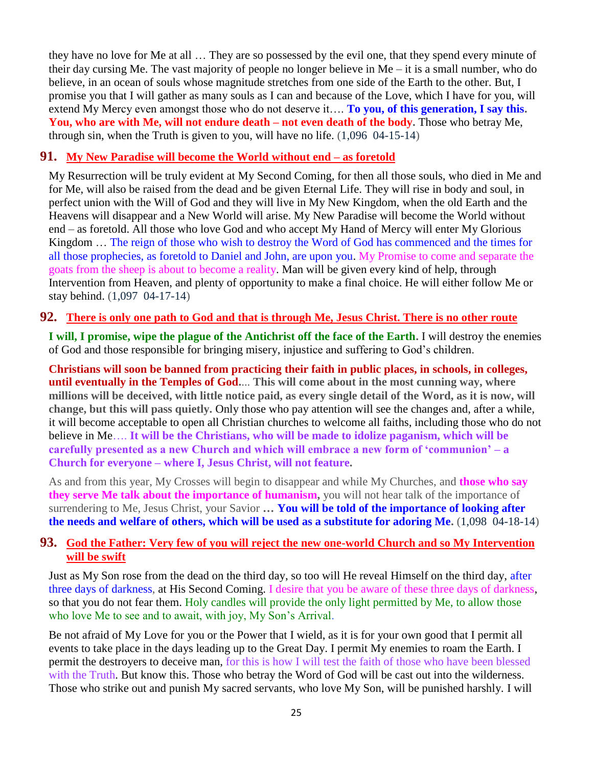they have no love for Me at all … They are so possessed by the evil one, that they spend every minute of their day cursing Me. The vast majority of people no longer believe in Me – it is a small number, who do believe, in an ocean of souls whose magnitude stretches from one side of the Earth to the other. But, I promise you that I will gather as many souls as I can and because of the Love, which I have for you, will extend My Mercy even amongst those who do not deserve it…. **To you, of this generation, I say this. You, who are with Me, will not endure death – not even death of the body.** Those who betray Me, through sin, when the Truth is given to you, will have no life. (1,096 04-15-14)

#### **91. [My New Paradise will become the World without end –](http://www.thewarningsecondcoming.com/my-new-paradise-will-become-the-world-without-end-as-foretold/) as foretold**

My Resurrection will be truly evident at My Second Coming, for then all those souls, who died in Me and for Me, will also be raised from the dead and be given Eternal Life. They will rise in body and soul, in perfect union with the Will of God and they will live in My New Kingdom, when the old Earth and the Heavens will disappear and a New World will arise. My New Paradise will become the World without end – as foretold. All those who love God and who accept My Hand of Mercy will enter My Glorious Kingdom … The reign of those who wish to destroy the Word of God has commenced and the times for all those prophecies, as foretold to Daniel and John, are upon you. My Promise to come and separate the goats from the sheep is about to become a reality. Man will be given every kind of help, through Intervention from Heaven, and plenty of opportunity to make a final choice. He will either follow Me or stay behind. (1,097 04-17-14)

#### **92. [There is only one path to God and that is through Me, Jesus Christ. There is no other route](http://www.thewarningsecondcoming.com/there-is-only-one-path-to-god-and-that-is-through-me-jesus-christ-there-is-no-other-route/)**

**I will, I promise, wipe the plague of the Antichrist off the face of the Earth.** I will destroy the enemies of God and those responsible for bringing misery, injustice and suffering to God's children.

**Christians will soon be banned from practicing their faith in public places, in schools, in colleges, until eventually in the Temples of God.**... **This will come about in the most cunning way, where millions will be deceived, with little notice paid, as every single detail of the Word, as it is now, will change, but this will pass quietly.** Only those who pay attention will see the changes and, after a while, it will become acceptable to open all Christian churches to welcome all faiths, including those who do not believe in Me…. **It will be the Christians, who will be made to idolize paganism, which will be carefully presented as a new Church and which will embrace a new form of 'communion' – a Church for everyone – where I, Jesus Christ, will not feature.**

As and from this year, My Crosses will begin to disappear and while My Churches, and **those who say they serve Me talk about the importance of humanism,** you will not hear talk of the importance of surrendering to Me, Jesus Christ, your Savior **… You will be told of the importance of looking after the needs and welfare of others, which will be used as a substitute for adoring Me.** (1,098 04-18-14)

#### **93. [God the Father: Very few of you will reject the new one-world Church and so My Intervention](http://www.thewarningsecondcoming.com/god-the-father-very-few-of-you-will-reject-the-new-one-world-church-and-so-my-intervention-will-be-swift/)  [will be swift](http://www.thewarningsecondcoming.com/god-the-father-very-few-of-you-will-reject-the-new-one-world-church-and-so-my-intervention-will-be-swift/)**

Just as My Son rose from the dead on the third day, so too will He reveal Himself on the third day, after three days of darkness, at His Second Coming. I desire that you be aware of these three days of darkness, so that you do not fear them. Holy candles will provide the only light permitted by Me, to allow those who love Me to see and to await, with joy, My Son's Arrival.

Be not afraid of My Love for you or the Power that I wield, as it is for your own good that I permit all events to take place in the days leading up to the Great Day. I permit My enemies to roam the Earth. I permit the destroyers to deceive man, for this is how I will test the faith of those who have been blessed with the Truth. But know this. Those who betray the Word of God will be cast out into the wilderness. Those who strike out and punish My sacred servants, who love My Son, will be punished harshly. I will